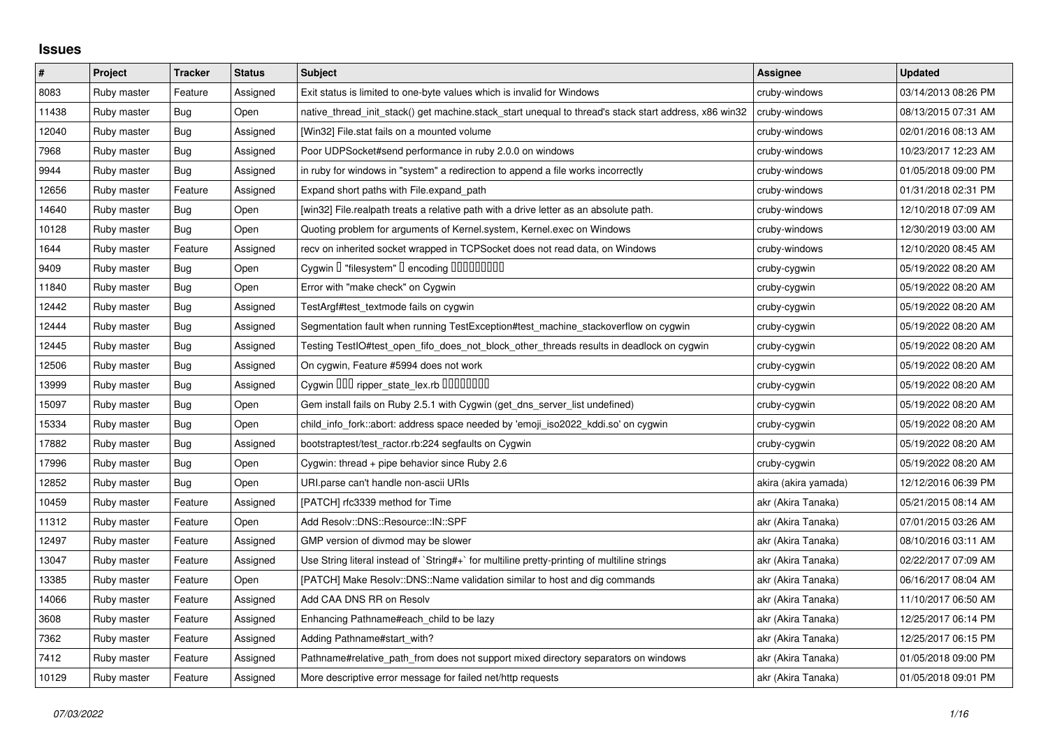## **Issues**

| $\pmb{\#}$ | Project     | <b>Tracker</b> | <b>Status</b> | <b>Subject</b>                                                                                        | <b>Assignee</b>      | <b>Updated</b>      |
|------------|-------------|----------------|---------------|-------------------------------------------------------------------------------------------------------|----------------------|---------------------|
| 8083       | Ruby master | Feature        | Assigned      | Exit status is limited to one-byte values which is invalid for Windows                                | cruby-windows        | 03/14/2013 08:26 PM |
| 11438      | Ruby master | Bug            | Open          | native_thread_init_stack() get machine.stack_start unequal to thread's stack start address, x86 win32 | cruby-windows        | 08/13/2015 07:31 AM |
| 12040      | Ruby master | Bug            | Assigned      | [Win32] File.stat fails on a mounted volume                                                           | cruby-windows        | 02/01/2016 08:13 AM |
| 7968       | Ruby master | Bug            | Assigned      | Poor UDPSocket#send performance in ruby 2.0.0 on windows                                              | cruby-windows        | 10/23/2017 12:23 AM |
| 9944       | Ruby master | Bug            | Assigned      | in ruby for windows in "system" a redirection to append a file works incorrectly                      | cruby-windows        | 01/05/2018 09:00 PM |
| 12656      | Ruby master | Feature        | Assigned      | Expand short paths with File.expand_path                                                              | cruby-windows        | 01/31/2018 02:31 PM |
| 14640      | Ruby master | Bug            | Open          | [win32] File.realpath treats a relative path with a drive letter as an absolute path.                 | cruby-windows        | 12/10/2018 07:09 AM |
| 10128      | Ruby master | Bug            | Open          | Quoting problem for arguments of Kernel.system, Kernel.exec on Windows                                | cruby-windows        | 12/30/2019 03:00 AM |
| 1644       | Ruby master | Feature        | Assigned      | recv on inherited socket wrapped in TCPSocket does not read data, on Windows                          | cruby-windows        | 12/10/2020 08:45 AM |
| 9409       | Ruby master | Bug            | Open          | Cygwin I "filesystem" I encoding IIIIIIIIIIIII                                                        | cruby-cygwin         | 05/19/2022 08:20 AM |
| 11840      | Ruby master | Bug            | Open          | Error with "make check" on Cygwin                                                                     | cruby-cygwin         | 05/19/2022 08:20 AM |
| 12442      | Ruby master | <b>Bug</b>     | Assigned      | TestArgf#test_textmode fails on cygwin                                                                | cruby-cygwin         | 05/19/2022 08:20 AM |
| 12444      | Ruby master | <b>Bug</b>     | Assigned      | Segmentation fault when running TestException#test_machine_stackoverflow on cygwin                    | cruby-cygwin         | 05/19/2022 08:20 AM |
| 12445      | Ruby master | Bug            | Assigned      | Testing TestIO#test_open_fifo_does_not_block_other_threads results in deadlock on cygwin              | cruby-cygwin         | 05/19/2022 08:20 AM |
| 12506      | Ruby master | Bug            | Assigned      | On cygwin, Feature #5994 does not work                                                                | cruby-cygwin         | 05/19/2022 08:20 AM |
| 13999      | Ruby master | <b>Bug</b>     | Assigned      | Cygwin 000 ripper_state_lex.rb 0000000                                                                | cruby-cygwin         | 05/19/2022 08:20 AM |
| 15097      | Ruby master | <b>Bug</b>     | Open          | Gem install fails on Ruby 2.5.1 with Cygwin (get_dns_server_list undefined)                           | cruby-cygwin         | 05/19/2022 08:20 AM |
| 15334      | Ruby master | Bug            | Open          | child info fork::abort: address space needed by 'emoji iso2022 kddi.so' on cygwin                     | cruby-cygwin         | 05/19/2022 08:20 AM |
| 17882      | Ruby master | Bug            | Assigned      | bootstraptest/test_ractor.rb:224 segfaults on Cygwin                                                  | cruby-cygwin         | 05/19/2022 08:20 AM |
| 17996      | Ruby master | <b>Bug</b>     | Open          | Cygwin: thread + pipe behavior since Ruby 2.6                                                         | cruby-cygwin         | 05/19/2022 08:20 AM |
| 12852      | Ruby master | Bug            | Open          | URI.parse can't handle non-ascii URIs                                                                 | akira (akira yamada) | 12/12/2016 06:39 PM |
| 10459      | Ruby master | Feature        | Assigned      | [PATCH] rfc3339 method for Time                                                                       | akr (Akira Tanaka)   | 05/21/2015 08:14 AM |
| 11312      | Ruby master | Feature        | Open          | Add Resolv::DNS::Resource::IN::SPF                                                                    | akr (Akira Tanaka)   | 07/01/2015 03:26 AM |
| 12497      | Ruby master | Feature        | Assigned      | GMP version of divmod may be slower                                                                   | akr (Akira Tanaka)   | 08/10/2016 03:11 AM |
| 13047      | Ruby master | Feature        | Assigned      | Use String literal instead of `String#+` for multiline pretty-printing of multiline strings           | akr (Akira Tanaka)   | 02/22/2017 07:09 AM |
| 13385      | Ruby master | Feature        | Open          | [PATCH] Make Resolv::DNS::Name validation similar to host and dig commands                            | akr (Akira Tanaka)   | 06/16/2017 08:04 AM |
| 14066      | Ruby master | Feature        | Assigned      | Add CAA DNS RR on Resolv                                                                              | akr (Akira Tanaka)   | 11/10/2017 06:50 AM |
| 3608       | Ruby master | Feature        | Assigned      | Enhancing Pathname#each_child to be lazy                                                              | akr (Akira Tanaka)   | 12/25/2017 06:14 PM |
| 7362       | Ruby master | Feature        | Assigned      | Adding Pathname#start_with?                                                                           | akr (Akira Tanaka)   | 12/25/2017 06:15 PM |
| 7412       | Ruby master | Feature        | Assigned      | Pathname#relative_path_from does not support mixed directory separators on windows                    | akr (Akira Tanaka)   | 01/05/2018 09:00 PM |
| 10129      | Ruby master | Feature        | Assigned      | More descriptive error message for failed net/http requests                                           | akr (Akira Tanaka)   | 01/05/2018 09:01 PM |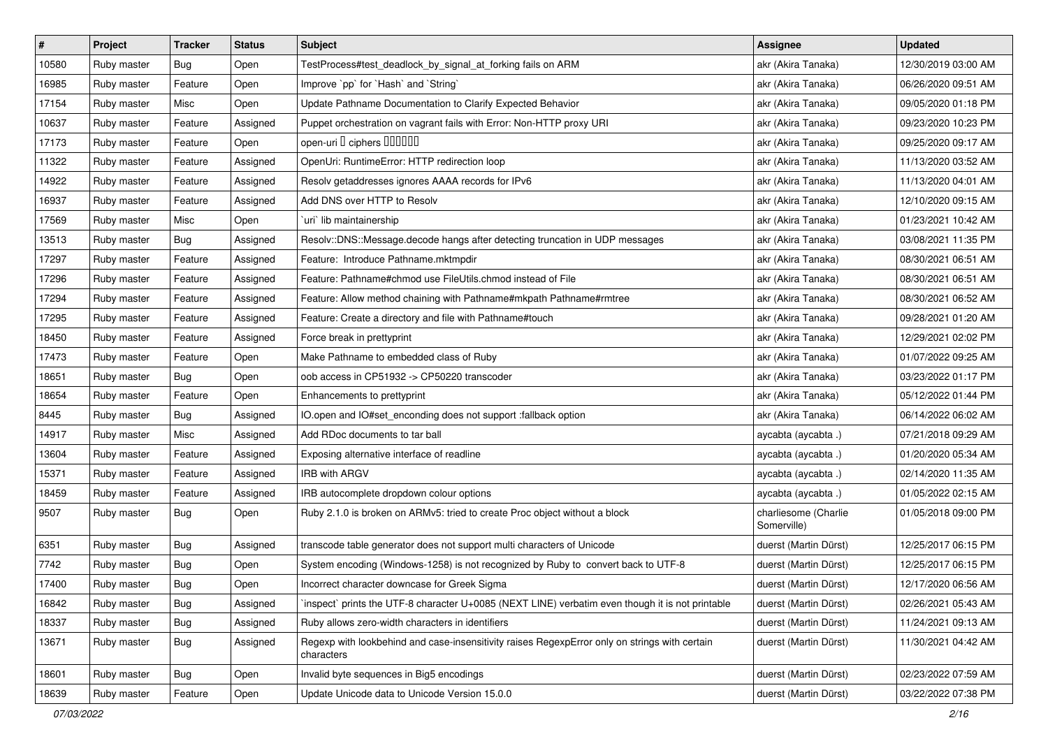| $\vert$ # | Project     | <b>Tracker</b> | <b>Status</b> | <b>Subject</b>                                                                                              | <b>Assignee</b>                     | <b>Updated</b>      |
|-----------|-------------|----------------|---------------|-------------------------------------------------------------------------------------------------------------|-------------------------------------|---------------------|
| 10580     | Ruby master | <b>Bug</b>     | Open          | TestProcess#test_deadlock_by_signal_at_forking fails on ARM                                                 | akr (Akira Tanaka)                  | 12/30/2019 03:00 AM |
| 16985     | Ruby master | Feature        | Open          | Improve `pp` for `Hash` and `String`                                                                        | akr (Akira Tanaka)                  | 06/26/2020 09:51 AM |
| 17154     | Ruby master | Misc           | Open          | Update Pathname Documentation to Clarify Expected Behavior                                                  | akr (Akira Tanaka)                  | 09/05/2020 01:18 PM |
| 10637     | Ruby master | Feature        | Assigned      | Puppet orchestration on vagrant fails with Error: Non-HTTP proxy URI                                        | akr (Akira Tanaka)                  | 09/23/2020 10:23 PM |
| 17173     | Ruby master | Feature        | Open          | open-uri I ciphers IIIIIII                                                                                  | akr (Akira Tanaka)                  | 09/25/2020 09:17 AM |
| 11322     | Ruby master | Feature        | Assigned      | OpenUri: RuntimeError: HTTP redirection loop                                                                | akr (Akira Tanaka)                  | 11/13/2020 03:52 AM |
| 14922     | Ruby master | Feature        | Assigned      | Resolv getaddresses ignores AAAA records for IPv6                                                           | akr (Akira Tanaka)                  | 11/13/2020 04:01 AM |
| 16937     | Ruby master | Feature        | Assigned      | Add DNS over HTTP to Resolv                                                                                 | akr (Akira Tanaka)                  | 12/10/2020 09:15 AM |
| 17569     | Ruby master | Misc           | Open          | uri lib maintainership                                                                                      | akr (Akira Tanaka)                  | 01/23/2021 10:42 AM |
| 13513     | Ruby master | Bug            | Assigned      | Resolv::DNS::Message.decode hangs after detecting truncation in UDP messages                                | akr (Akira Tanaka)                  | 03/08/2021 11:35 PM |
| 17297     | Ruby master | Feature        | Assigned      | Feature: Introduce Pathname.mktmpdir                                                                        | akr (Akira Tanaka)                  | 08/30/2021 06:51 AM |
| 17296     | Ruby master | Feature        | Assigned      | Feature: Pathname#chmod use FileUtils.chmod instead of File                                                 | akr (Akira Tanaka)                  | 08/30/2021 06:51 AM |
| 17294     | Ruby master | Feature        | Assigned      | Feature: Allow method chaining with Pathname#mkpath Pathname#rmtree                                         | akr (Akira Tanaka)                  | 08/30/2021 06:52 AM |
| 17295     | Ruby master | Feature        | Assigned      | Feature: Create a directory and file with Pathname#touch                                                    | akr (Akira Tanaka)                  | 09/28/2021 01:20 AM |
| 18450     | Ruby master | Feature        | Assigned      | Force break in prettyprint                                                                                  | akr (Akira Tanaka)                  | 12/29/2021 02:02 PM |
| 17473     | Ruby master | Feature        | Open          | Make Pathname to embedded class of Ruby                                                                     | akr (Akira Tanaka)                  | 01/07/2022 09:25 AM |
| 18651     | Ruby master | Bug            | Open          | oob access in CP51932 -> CP50220 transcoder                                                                 | akr (Akira Tanaka)                  | 03/23/2022 01:17 PM |
| 18654     | Ruby master | Feature        | Open          | Enhancements to prettyprint                                                                                 | akr (Akira Tanaka)                  | 05/12/2022 01:44 PM |
| 8445      | Ruby master | <b>Bug</b>     | Assigned      | IO.open and IO#set_enconding does not support :fallback option                                              | akr (Akira Tanaka)                  | 06/14/2022 06:02 AM |
| 14917     | Ruby master | Misc           | Assigned      | Add RDoc documents to tar ball                                                                              | aycabta (aycabta .)                 | 07/21/2018 09:29 AM |
| 13604     | Ruby master | Feature        | Assigned      | Exposing alternative interface of readline                                                                  | aycabta (aycabta .)                 | 01/20/2020 05:34 AM |
| 15371     | Ruby master | Feature        | Assigned      | <b>IRB with ARGV</b>                                                                                        | aycabta (aycabta .)                 | 02/14/2020 11:35 AM |
| 18459     | Ruby master | Feature        | Assigned      | IRB autocomplete dropdown colour options                                                                    | aycabta (aycabta .)                 | 01/05/2022 02:15 AM |
| 9507      | Ruby master | Bug            | Open          | Ruby 2.1.0 is broken on ARMv5: tried to create Proc object without a block                                  | charliesome (Charlie<br>Somerville) | 01/05/2018 09:00 PM |
| 6351      | Ruby master | Bug            | Assigned      | transcode table generator does not support multi characters of Unicode                                      | duerst (Martin Dürst)               | 12/25/2017 06:15 PM |
| 7742      | Ruby master | Bug            | Open          | System encoding (Windows-1258) is not recognized by Ruby to convert back to UTF-8                           | duerst (Martin Dürst)               | 12/25/2017 06:15 PM |
| 17400     | Ruby master | <b>Bug</b>     | Open          | Incorrect character downcase for Greek Sigma                                                                | duerst (Martin Dürst)               | 12/17/2020 06:56 AM |
| 16842     | Ruby master | <b>Bug</b>     | Assigned      | inspect` prints the UTF-8 character U+0085 (NEXT LINE) verbatim even though it is not printable             | duerst (Martin Dürst)               | 02/26/2021 05:43 AM |
| 18337     | Ruby master | Bug            | Assigned      | Ruby allows zero-width characters in identifiers                                                            | duerst (Martin Dürst)               | 11/24/2021 09:13 AM |
| 13671     | Ruby master | <b>Bug</b>     | Assigned      | Regexp with lookbehind and case-insensitivity raises RegexpError only on strings with certain<br>characters | duerst (Martin Dürst)               | 11/30/2021 04:42 AM |
| 18601     | Ruby master | <b>Bug</b>     | Open          | Invalid byte sequences in Big5 encodings                                                                    | duerst (Martin Dürst)               | 02/23/2022 07:59 AM |
| 18639     | Ruby master | Feature        | Open          | Update Unicode data to Unicode Version 15.0.0                                                               | duerst (Martin Dürst)               | 03/22/2022 07:38 PM |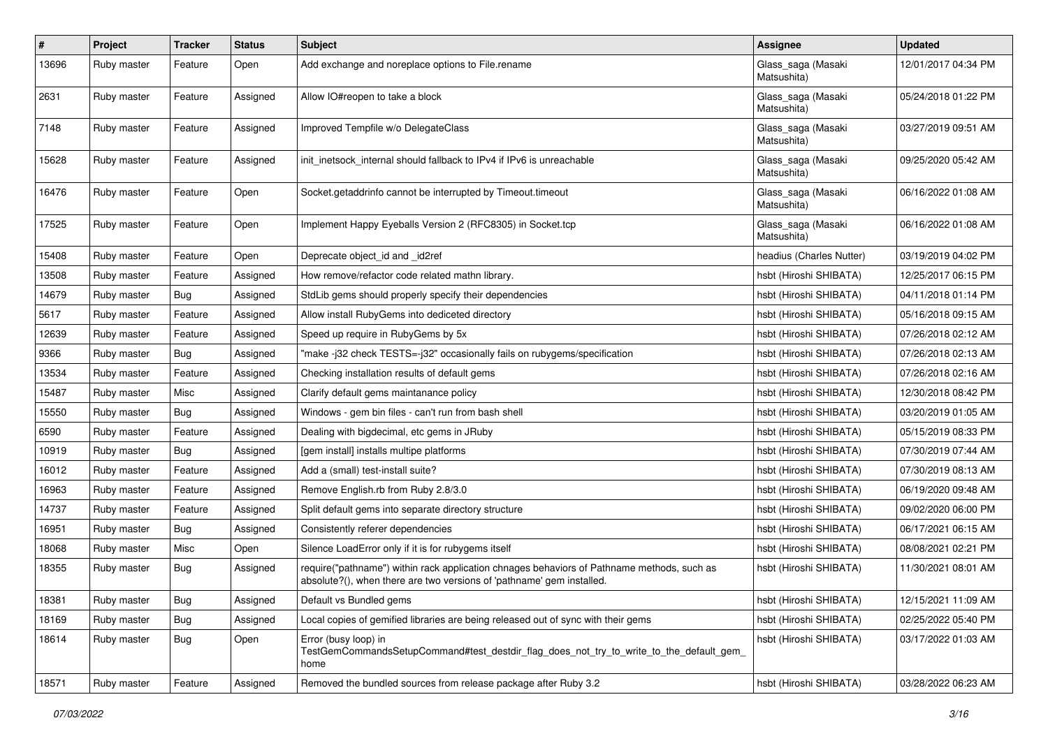| $\sharp$ | Project     | <b>Tracker</b> | <b>Status</b> | <b>Subject</b>                                                                                                                                                      | Assignee                          | <b>Updated</b>      |
|----------|-------------|----------------|---------------|---------------------------------------------------------------------------------------------------------------------------------------------------------------------|-----------------------------------|---------------------|
| 13696    | Ruby master | Feature        | Open          | Add exchange and noreplace options to File.rename                                                                                                                   | Glass_saga (Masaki<br>Matsushita) | 12/01/2017 04:34 PM |
| 2631     | Ruby master | Feature        | Assigned      | Allow IO#reopen to take a block                                                                                                                                     | Glass_saga (Masaki<br>Matsushita) | 05/24/2018 01:22 PM |
| 7148     | Ruby master | Feature        | Assigned      | Improved Tempfile w/o DelegateClass                                                                                                                                 | Glass_saga (Masaki<br>Matsushita) | 03/27/2019 09:51 AM |
| 15628    | Ruby master | Feature        | Assigned      | init_inetsock_internal should fallback to IPv4 if IPv6 is unreachable                                                                                               | Glass_saga (Masaki<br>Matsushita) | 09/25/2020 05:42 AM |
| 16476    | Ruby master | Feature        | Open          | Socket.getaddrinfo cannot be interrupted by Timeout.timeout                                                                                                         | Glass_saga (Masaki<br>Matsushita) | 06/16/2022 01:08 AM |
| 17525    | Ruby master | Feature        | Open          | Implement Happy Eyeballs Version 2 (RFC8305) in Socket.tcp                                                                                                          | Glass_saga (Masaki<br>Matsushita) | 06/16/2022 01:08 AM |
| 15408    | Ruby master | Feature        | Open          | Deprecate object id and id2ref                                                                                                                                      | headius (Charles Nutter)          | 03/19/2019 04:02 PM |
| 13508    | Ruby master | Feature        | Assigned      | How remove/refactor code related mathn library.                                                                                                                     | hsbt (Hiroshi SHIBATA)            | 12/25/2017 06:15 PM |
| 14679    | Ruby master | Bug            | Assigned      | StdLib gems should properly specify their dependencies                                                                                                              | hsbt (Hiroshi SHIBATA)            | 04/11/2018 01:14 PM |
| 5617     | Ruby master | Feature        | Assigned      | Allow install RubyGems into dediceted directory                                                                                                                     | hsbt (Hiroshi SHIBATA)            | 05/16/2018 09:15 AM |
| 12639    | Ruby master | Feature        | Assigned      | Speed up require in RubyGems by 5x                                                                                                                                  | hsbt (Hiroshi SHIBATA)            | 07/26/2018 02:12 AM |
| 9366     | Ruby master | Bug            | Assigned      | "make-j32 check TESTS=-j32" occasionally fails on rubygems/specification                                                                                            | hsbt (Hiroshi SHIBATA)            | 07/26/2018 02:13 AM |
| 13534    | Ruby master | Feature        | Assigned      | Checking installation results of default gems                                                                                                                       | hsbt (Hiroshi SHIBATA)            | 07/26/2018 02:16 AM |
| 15487    | Ruby master | Misc           | Assigned      | Clarify default gems maintanance policy                                                                                                                             | hsbt (Hiroshi SHIBATA)            | 12/30/2018 08:42 PM |
| 15550    | Ruby master | Bug            | Assigned      | Windows - gem bin files - can't run from bash shell                                                                                                                 | hsbt (Hiroshi SHIBATA)            | 03/20/2019 01:05 AM |
| 6590     | Ruby master | Feature        | Assigned      | Dealing with bigdecimal, etc gems in JRuby                                                                                                                          | hsbt (Hiroshi SHIBATA)            | 05/15/2019 08:33 PM |
| 10919    | Ruby master | Bug            | Assigned      | [gem install] installs multipe platforms                                                                                                                            | hsbt (Hiroshi SHIBATA)            | 07/30/2019 07:44 AM |
| 16012    | Ruby master | Feature        | Assigned      | Add a (small) test-install suite?                                                                                                                                   | hsbt (Hiroshi SHIBATA)            | 07/30/2019 08:13 AM |
| 16963    | Ruby master | Feature        | Assigned      | Remove English.rb from Ruby 2.8/3.0                                                                                                                                 | hsbt (Hiroshi SHIBATA)            | 06/19/2020 09:48 AM |
| 14737    | Ruby master | Feature        | Assigned      | Split default gems into separate directory structure                                                                                                                | hsbt (Hiroshi SHIBATA)            | 09/02/2020 06:00 PM |
| 16951    | Ruby master | <b>Bug</b>     | Assigned      | Consistently referer dependencies                                                                                                                                   | hsbt (Hiroshi SHIBATA)            | 06/17/2021 06:15 AM |
| 18068    | Ruby master | Misc           | Open          | Silence LoadError only if it is for rubygems itself                                                                                                                 | hsbt (Hiroshi SHIBATA)            | 08/08/2021 02:21 PM |
| 18355    | Ruby master | Bug            | Assigned      | require("pathname") within rack application chnages behaviors of Pathname methods, such as<br>absolute?(), when there are two versions of 'pathname' gem installed. | hsbt (Hiroshi SHIBATA)            | 11/30/2021 08:01 AM |
| 18381    | Ruby master | <b>Bug</b>     | Assigned      | Default vs Bundled gems                                                                                                                                             | hsbt (Hiroshi SHIBATA)            | 12/15/2021 11:09 AM |
| 18169    | Ruby master | Bug            | Assigned      | Local copies of gemified libraries are being released out of sync with their gems                                                                                   | hsbt (Hiroshi SHIBATA)            | 02/25/2022 05:40 PM |
| 18614    | Ruby master | <b>Bug</b>     | Open          | Error (busy loop) in<br>TestGemCommandsSetupCommand#test_destdir_flag_does_not_try_to_write_to_the_default_gem_<br>home                                             | hsbt (Hiroshi SHIBATA)            | 03/17/2022 01:03 AM |
| 18571    | Ruby master | Feature        | Assigned      | Removed the bundled sources from release package after Ruby 3.2                                                                                                     | hsbt (Hiroshi SHIBATA)            | 03/28/2022 06:23 AM |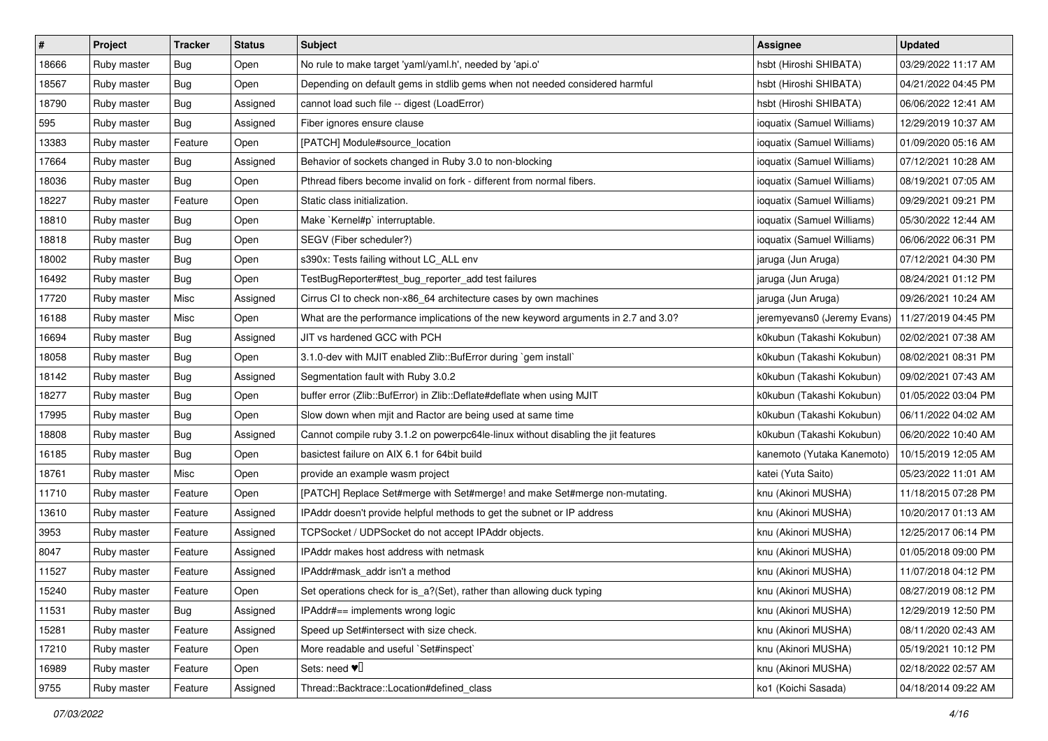| $\vert$ # | Project     | Tracker    | <b>Status</b> | <b>Subject</b>                                                                     | <b>Assignee</b>             | <b>Updated</b>      |
|-----------|-------------|------------|---------------|------------------------------------------------------------------------------------|-----------------------------|---------------------|
| 18666     | Ruby master | <b>Bug</b> | Open          | No rule to make target 'yaml/yaml.h', needed by 'api.o'                            | hsbt (Hiroshi SHIBATA)      | 03/29/2022 11:17 AM |
| 18567     | Ruby master | Bug        | Open          | Depending on default gems in stdlib gems when not needed considered harmful        | hsbt (Hiroshi SHIBATA)      | 04/21/2022 04:45 PM |
| 18790     | Ruby master | <b>Bug</b> | Assigned      | cannot load such file -- digest (LoadError)                                        | hsbt (Hiroshi SHIBATA)      | 06/06/2022 12:41 AM |
| 595       | Ruby master | <b>Bug</b> | Assigned      | Fiber ignores ensure clause                                                        | ioquatix (Samuel Williams)  | 12/29/2019 10:37 AM |
| 13383     | Ruby master | Feature    | Open          | [PATCH] Module#source_location                                                     | ioquatix (Samuel Williams)  | 01/09/2020 05:16 AM |
| 17664     | Ruby master | <b>Bug</b> | Assigned      | Behavior of sockets changed in Ruby 3.0 to non-blocking                            | ioquatix (Samuel Williams)  | 07/12/2021 10:28 AM |
| 18036     | Ruby master | <b>Bug</b> | Open          | Pthread fibers become invalid on fork - different from normal fibers.              | ioquatix (Samuel Williams)  | 08/19/2021 07:05 AM |
| 18227     | Ruby master | Feature    | Open          | Static class initialization.                                                       | ioquatix (Samuel Williams)  | 09/29/2021 09:21 PM |
| 18810     | Ruby master | Bug        | Open          | Make `Kernel#p` interruptable.                                                     | ioquatix (Samuel Williams)  | 05/30/2022 12:44 AM |
| 18818     | Ruby master | Bug        | Open          | SEGV (Fiber scheduler?)                                                            | ioquatix (Samuel Williams)  | 06/06/2022 06:31 PM |
| 18002     | Ruby master | <b>Bug</b> | Open          | s390x: Tests failing without LC_ALL env                                            | jaruga (Jun Aruga)          | 07/12/2021 04:30 PM |
| 16492     | Ruby master | <b>Bug</b> | Open          | TestBugReporter#test_bug_reporter_add test failures                                | jaruga (Jun Aruga)          | 08/24/2021 01:12 PM |
| 17720     | Ruby master | Misc       | Assigned      | Cirrus CI to check non-x86_64 architecture cases by own machines                   | jaruga (Jun Aruga)          | 09/26/2021 10:24 AM |
| 16188     | Ruby master | Misc       | Open          | What are the performance implications of the new keyword arguments in 2.7 and 3.0? | jeremyevans0 (Jeremy Evans) | 11/27/2019 04:45 PM |
| 16694     | Ruby master | <b>Bug</b> | Assigned      | JIT vs hardened GCC with PCH                                                       | k0kubun (Takashi Kokubun)   | 02/02/2021 07:38 AM |
| 18058     | Ruby master | <b>Bug</b> | Open          | 3.1.0-dev with MJIT enabled Zlib::BufError during `gem install`                    | k0kubun (Takashi Kokubun)   | 08/02/2021 08:31 PM |
| 18142     | Ruby master | Bug        | Assigned      | Segmentation fault with Ruby 3.0.2                                                 | k0kubun (Takashi Kokubun)   | 09/02/2021 07:43 AM |
| 18277     | Ruby master | Bug        | Open          | buffer error (Zlib::BufError) in Zlib::Deflate#deflate when using MJIT             | k0kubun (Takashi Kokubun)   | 01/05/2022 03:04 PM |
| 17995     | Ruby master | <b>Bug</b> | Open          | Slow down when mjit and Ractor are being used at same time                         | k0kubun (Takashi Kokubun)   | 06/11/2022 04:02 AM |
| 18808     | Ruby master | <b>Bug</b> | Assigned      | Cannot compile ruby 3.1.2 on powerpc64le-linux without disabling the jit features  | k0kubun (Takashi Kokubun)   | 06/20/2022 10:40 AM |
| 16185     | Ruby master | <b>Bug</b> | Open          | basictest failure on AIX 6.1 for 64bit build                                       | kanemoto (Yutaka Kanemoto)  | 10/15/2019 12:05 AM |
| 18761     | Ruby master | Misc       | Open          | provide an example wasm project                                                    | katei (Yuta Saito)          | 05/23/2022 11:01 AM |
| 11710     | Ruby master | Feature    | Open          | [PATCH] Replace Set#merge with Set#merge! and make Set#merge non-mutating.         | knu (Akinori MUSHA)         | 11/18/2015 07:28 PM |
| 13610     | Ruby master | Feature    | Assigned      | IPAddr doesn't provide helpful methods to get the subnet or IP address             | knu (Akinori MUSHA)         | 10/20/2017 01:13 AM |
| 3953      | Ruby master | Feature    | Assigned      | TCPSocket / UDPSocket do not accept IPAddr objects.                                | knu (Akinori MUSHA)         | 12/25/2017 06:14 PM |
| 8047      | Ruby master | Feature    | Assigned      | <b>IPAddr makes host address with netmask</b>                                      | knu (Akinori MUSHA)         | 01/05/2018 09:00 PM |
| 11527     | Ruby master | Feature    | Assigned      | IPAddr#mask_addr isn't a method                                                    | knu (Akinori MUSHA)         | 11/07/2018 04:12 PM |
| 15240     | Ruby master | Feature    | Open          | Set operations check for is_a?(Set), rather than allowing duck typing              | knu (Akinori MUSHA)         | 08/27/2019 08:12 PM |
| 11531     | Ruby master | Bug        | Assigned      | IPAddr#== implements wrong logic                                                   | knu (Akinori MUSHA)         | 12/29/2019 12:50 PM |
| 15281     | Ruby master | Feature    | Assigned      | Speed up Set#intersect with size check.                                            | knu (Akinori MUSHA)         | 08/11/2020 02:43 AM |
| 17210     | Ruby master | Feature    | Open          | More readable and useful `Set#inspect`                                             | knu (Akinori MUSHA)         | 05/19/2021 10:12 PM |
| 16989     | Ruby master | Feature    | Open          | Sets: need $\Psi$ <sup>[]</sup>                                                    | knu (Akinori MUSHA)         | 02/18/2022 02:57 AM |
| 9755      | Ruby master | Feature    | Assigned      | Thread::Backtrace::Location#defined_class                                          | ko1 (Koichi Sasada)         | 04/18/2014 09:22 AM |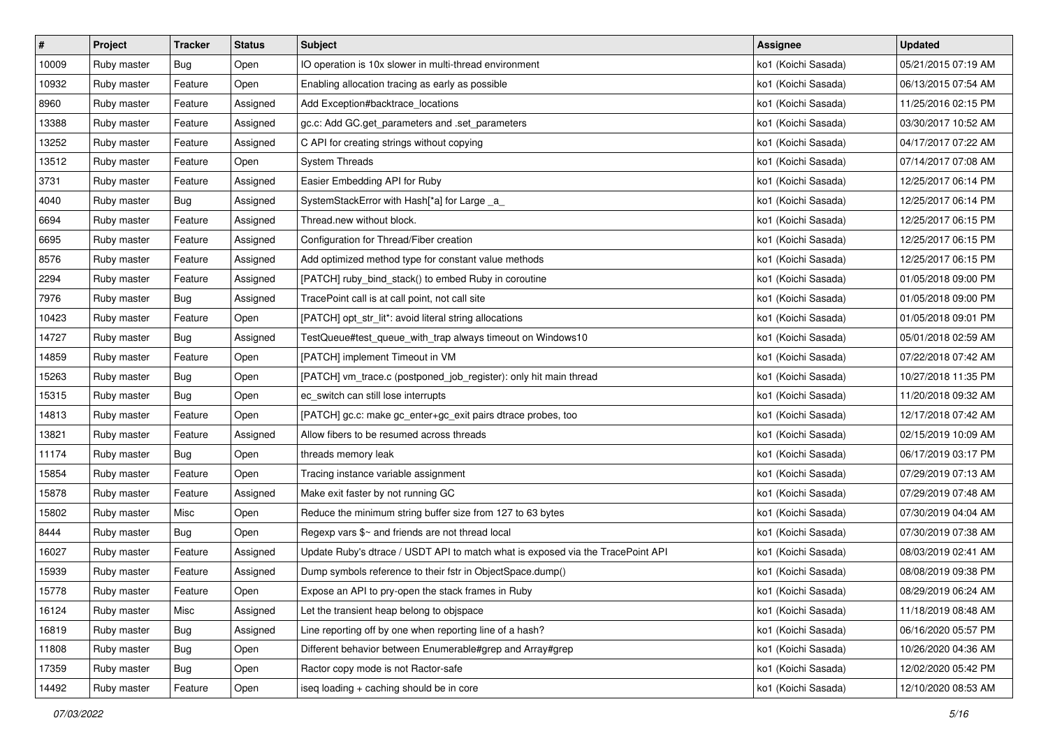| $\vert$ # | Project     | <b>Tracker</b> | <b>Status</b> | <b>Subject</b>                                                                  | <b>Assignee</b>     | <b>Updated</b>      |
|-----------|-------------|----------------|---------------|---------------------------------------------------------------------------------|---------------------|---------------------|
| 10009     | Ruby master | Bug            | Open          | IO operation is 10x slower in multi-thread environment                          | ko1 (Koichi Sasada) | 05/21/2015 07:19 AM |
| 10932     | Ruby master | Feature        | Open          | Enabling allocation tracing as early as possible                                | ko1 (Koichi Sasada) | 06/13/2015 07:54 AM |
| 8960      | Ruby master | Feature        | Assigned      | Add Exception#backtrace_locations                                               | ko1 (Koichi Sasada) | 11/25/2016 02:15 PM |
| 13388     | Ruby master | Feature        | Assigned      | gc.c: Add GC.get_parameters and .set_parameters                                 | ko1 (Koichi Sasada) | 03/30/2017 10:52 AM |
| 13252     | Ruby master | Feature        | Assigned      | C API for creating strings without copying                                      | ko1 (Koichi Sasada) | 04/17/2017 07:22 AM |
| 13512     | Ruby master | Feature        | Open          | <b>System Threads</b>                                                           | ko1 (Koichi Sasada) | 07/14/2017 07:08 AM |
| 3731      | Ruby master | Feature        | Assigned      | Easier Embedding API for Ruby                                                   | ko1 (Koichi Sasada) | 12/25/2017 06:14 PM |
| 4040      | Ruby master | Bug            | Assigned      | SystemStackError with Hash[*a] for Large _a_                                    | ko1 (Koichi Sasada) | 12/25/2017 06:14 PM |
| 6694      | Ruby master | Feature        | Assigned      | Thread.new without block.                                                       | ko1 (Koichi Sasada) | 12/25/2017 06:15 PM |
| 6695      | Ruby master | Feature        | Assigned      | Configuration for Thread/Fiber creation                                         | ko1 (Koichi Sasada) | 12/25/2017 06:15 PM |
| 8576      | Ruby master | Feature        | Assigned      | Add optimized method type for constant value methods                            | ko1 (Koichi Sasada) | 12/25/2017 06:15 PM |
| 2294      | Ruby master | Feature        | Assigned      | [PATCH] ruby_bind_stack() to embed Ruby in coroutine                            | ko1 (Koichi Sasada) | 01/05/2018 09:00 PM |
| 7976      | Ruby master | Bug            | Assigned      | TracePoint call is at call point, not call site                                 | ko1 (Koichi Sasada) | 01/05/2018 09:00 PM |
| 10423     | Ruby master | Feature        | Open          | [PATCH] opt_str_lit*: avoid literal string allocations                          | ko1 (Koichi Sasada) | 01/05/2018 09:01 PM |
| 14727     | Ruby master | Bug            | Assigned      | TestQueue#test_queue_with_trap always timeout on Windows10                      | ko1 (Koichi Sasada) | 05/01/2018 02:59 AM |
| 14859     | Ruby master | Feature        | Open          | [PATCH] implement Timeout in VM                                                 | ko1 (Koichi Sasada) | 07/22/2018 07:42 AM |
| 15263     | Ruby master | Bug            | Open          | [PATCH] vm_trace.c (postponed_job_register): only hit main thread               | ko1 (Koichi Sasada) | 10/27/2018 11:35 PM |
| 15315     | Ruby master | Bug            | Open          | ec_switch can still lose interrupts                                             | ko1 (Koichi Sasada) | 11/20/2018 09:32 AM |
| 14813     | Ruby master | Feature        | Open          | [PATCH] gc.c: make gc_enter+gc_exit pairs dtrace probes, too                    | ko1 (Koichi Sasada) | 12/17/2018 07:42 AM |
| 13821     | Ruby master | Feature        | Assigned      | Allow fibers to be resumed across threads                                       | ko1 (Koichi Sasada) | 02/15/2019 10:09 AM |
| 11174     | Ruby master | Bug            | Open          | threads memory leak                                                             | ko1 (Koichi Sasada) | 06/17/2019 03:17 PM |
| 15854     | Ruby master | Feature        | Open          | Tracing instance variable assignment                                            | ko1 (Koichi Sasada) | 07/29/2019 07:13 AM |
| 15878     | Ruby master | Feature        | Assigned      | Make exit faster by not running GC                                              | ko1 (Koichi Sasada) | 07/29/2019 07:48 AM |
| 15802     | Ruby master | Misc           | Open          | Reduce the minimum string buffer size from 127 to 63 bytes                      | ko1 (Koichi Sasada) | 07/30/2019 04:04 AM |
| 8444      | Ruby master | Bug            | Open          | Regexp vars \$~ and friends are not thread local                                | ko1 (Koichi Sasada) | 07/30/2019 07:38 AM |
| 16027     | Ruby master | Feature        | Assigned      | Update Ruby's dtrace / USDT API to match what is exposed via the TracePoint API | ko1 (Koichi Sasada) | 08/03/2019 02:41 AM |
| 15939     | Ruby master | Feature        | Assigned      | Dump symbols reference to their fstr in ObjectSpace.dump()                      | ko1 (Koichi Sasada) | 08/08/2019 09:38 PM |
| 15778     | Ruby master | Feature        | Open          | Expose an API to pry-open the stack frames in Ruby                              | ko1 (Koichi Sasada) | 08/29/2019 06:24 AM |
| 16124     | Ruby master | Misc           | Assigned      | Let the transient heap belong to objspace                                       | ko1 (Koichi Sasada) | 11/18/2019 08:48 AM |
| 16819     | Ruby master | Bug            | Assigned      | Line reporting off by one when reporting line of a hash?                        | ko1 (Koichi Sasada) | 06/16/2020 05:57 PM |
| 11808     | Ruby master | Bug            | Open          | Different behavior between Enumerable#grep and Array#grep                       | ko1 (Koichi Sasada) | 10/26/2020 04:36 AM |
| 17359     | Ruby master | Bug            | Open          | Ractor copy mode is not Ractor-safe                                             | ko1 (Koichi Sasada) | 12/02/2020 05:42 PM |
| 14492     | Ruby master | Feature        | Open          | iseq loading + caching should be in core                                        | ko1 (Koichi Sasada) | 12/10/2020 08:53 AM |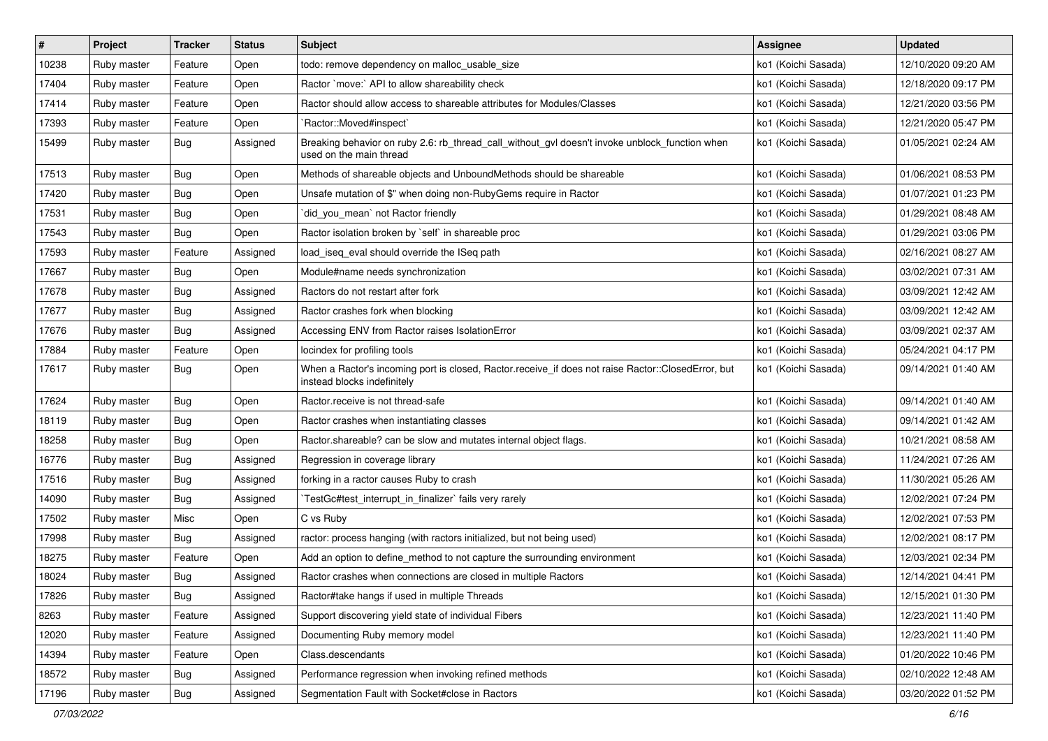| $\vert$ # | Project     | <b>Tracker</b> | <b>Status</b> | <b>Subject</b>                                                                                                                    | <b>Assignee</b>     | <b>Updated</b>      |
|-----------|-------------|----------------|---------------|-----------------------------------------------------------------------------------------------------------------------------------|---------------------|---------------------|
| 10238     | Ruby master | Feature        | Open          | todo: remove dependency on malloc_usable_size                                                                                     | ko1 (Koichi Sasada) | 12/10/2020 09:20 AM |
| 17404     | Ruby master | Feature        | Open          | Ractor `move:` API to allow shareability check                                                                                    | ko1 (Koichi Sasada) | 12/18/2020 09:17 PM |
| 17414     | Ruby master | Feature        | Open          | Ractor should allow access to shareable attributes for Modules/Classes                                                            | ko1 (Koichi Sasada) | 12/21/2020 03:56 PM |
| 17393     | Ruby master | Feature        | Open          | `Ractor::Moved#inspect`                                                                                                           | ko1 (Koichi Sasada) | 12/21/2020 05:47 PM |
| 15499     | Ruby master | Bug            | Assigned      | Breaking behavior on ruby 2.6: rb_thread_call_without_gvl doesn't invoke unblock_function when<br>used on the main thread         | ko1 (Koichi Sasada) | 01/05/2021 02:24 AM |
| 17513     | Ruby master | Bug            | Open          | Methods of shareable objects and UnboundMethods should be shareable                                                               | ko1 (Koichi Sasada) | 01/06/2021 08:53 PM |
| 17420     | Ruby master | Bug            | Open          | Unsafe mutation of \$" when doing non-RubyGems require in Ractor                                                                  | ko1 (Koichi Sasada) | 01/07/2021 01:23 PM |
| 17531     | Ruby master | <b>Bug</b>     | Open          | `did_you_mean` not Ractor friendly                                                                                                | ko1 (Koichi Sasada) | 01/29/2021 08:48 AM |
| 17543     | Ruby master | <b>Bug</b>     | Open          | Ractor isolation broken by `self` in shareable proc                                                                               | ko1 (Koichi Sasada) | 01/29/2021 03:06 PM |
| 17593     | Ruby master | Feature        | Assigned      | load_iseq_eval should override the ISeq path                                                                                      | ko1 (Koichi Sasada) | 02/16/2021 08:27 AM |
| 17667     | Ruby master | Bug            | Open          | Module#name needs synchronization                                                                                                 | ko1 (Koichi Sasada) | 03/02/2021 07:31 AM |
| 17678     | Ruby master | Bug            | Assigned      | Ractors do not restart after fork                                                                                                 | ko1 (Koichi Sasada) | 03/09/2021 12:42 AM |
| 17677     | Ruby master | Bug            | Assigned      | Ractor crashes fork when blocking                                                                                                 | ko1 (Koichi Sasada) | 03/09/2021 12:42 AM |
| 17676     | Ruby master | Bug            | Assigned      | Accessing ENV from Ractor raises IsolationError                                                                                   | ko1 (Koichi Sasada) | 03/09/2021 02:37 AM |
| 17884     | Ruby master | Feature        | Open          | locindex for profiling tools                                                                                                      | ko1 (Koichi Sasada) | 05/24/2021 04:17 PM |
| 17617     | Ruby master | Bug            | Open          | When a Ractor's incoming port is closed, Ractor.receive_if does not raise Ractor::ClosedError, but<br>instead blocks indefinitely | ko1 (Koichi Sasada) | 09/14/2021 01:40 AM |
| 17624     | Ruby master | Bug            | Open          | Ractor.receive is not thread-safe                                                                                                 | ko1 (Koichi Sasada) | 09/14/2021 01:40 AM |
| 18119     | Ruby master | Bug            | Open          | Ractor crashes when instantiating classes                                                                                         | ko1 (Koichi Sasada) | 09/14/2021 01:42 AM |
| 18258     | Ruby master | Bug            | Open          | Ractor.shareable? can be slow and mutates internal object flags.                                                                  | ko1 (Koichi Sasada) | 10/21/2021 08:58 AM |
| 16776     | Ruby master | Bug            | Assigned      | Regression in coverage library                                                                                                    | ko1 (Koichi Sasada) | 11/24/2021 07:26 AM |
| 17516     | Ruby master | Bug            | Assigned      | forking in a ractor causes Ruby to crash                                                                                          | ko1 (Koichi Sasada) | 11/30/2021 05:26 AM |
| 14090     | Ruby master | Bug            | Assigned      | TestGc#test_interrupt_in_finalizer` fails very rarely                                                                             | ko1 (Koichi Sasada) | 12/02/2021 07:24 PM |
| 17502     | Ruby master | Misc           | Open          | C vs Ruby                                                                                                                         | ko1 (Koichi Sasada) | 12/02/2021 07:53 PM |
| 17998     | Ruby master | Bug            | Assigned      | ractor: process hanging (with ractors initialized, but not being used)                                                            | ko1 (Koichi Sasada) | 12/02/2021 08:17 PM |
| 18275     | Ruby master | Feature        | Open          | Add an option to define_method to not capture the surrounding environment                                                         | ko1 (Koichi Sasada) | 12/03/2021 02:34 PM |
| 18024     | Ruby master | Bug            | Assigned      | Ractor crashes when connections are closed in multiple Ractors                                                                    | ko1 (Koichi Sasada) | 12/14/2021 04:41 PM |
| 17826     | Ruby master | Bug            | Assigned      | Ractor#take hangs if used in multiple Threads                                                                                     | ko1 (Koichi Sasada) | 12/15/2021 01:30 PM |
| 8263      | Ruby master | Feature        | Assigned      | Support discovering yield state of individual Fibers                                                                              | ko1 (Koichi Sasada) | 12/23/2021 11:40 PM |
| 12020     | Ruby master | Feature        | Assigned      | Documenting Ruby memory model                                                                                                     | ko1 (Koichi Sasada) | 12/23/2021 11:40 PM |
| 14394     | Ruby master | Feature        | Open          | Class.descendants                                                                                                                 | ko1 (Koichi Sasada) | 01/20/2022 10:46 PM |
| 18572     | Ruby master | Bug            | Assigned      | Performance regression when invoking refined methods                                                                              | ko1 (Koichi Sasada) | 02/10/2022 12:48 AM |
| 17196     | Ruby master | <b>Bug</b>     | Assigned      | Segmentation Fault with Socket#close in Ractors                                                                                   | ko1 (Koichi Sasada) | 03/20/2022 01:52 PM |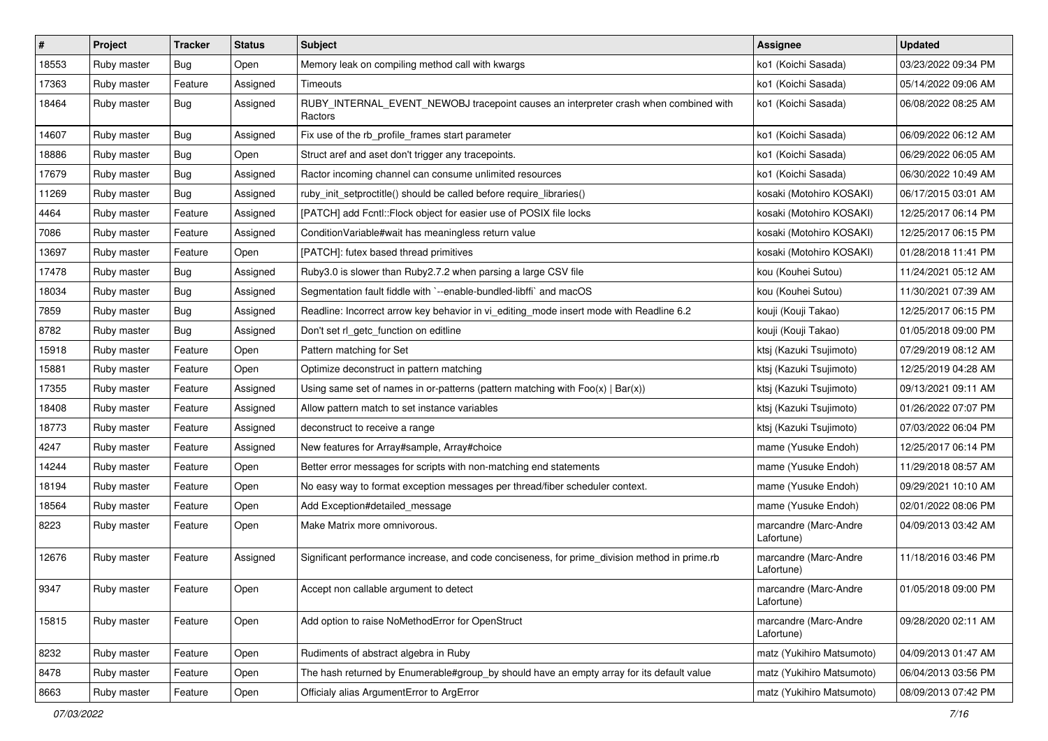| $\vert$ # | Project     | <b>Tracker</b> | <b>Status</b> | <b>Subject</b>                                                                                  | <b>Assignee</b>                     | <b>Updated</b>      |
|-----------|-------------|----------------|---------------|-------------------------------------------------------------------------------------------------|-------------------------------------|---------------------|
| 18553     | Ruby master | Bug            | Open          | Memory leak on compiling method call with kwargs                                                | ko1 (Koichi Sasada)                 | 03/23/2022 09:34 PM |
| 17363     | Ruby master | Feature        | Assigned      | Timeouts                                                                                        | ko1 (Koichi Sasada)                 | 05/14/2022 09:06 AM |
| 18464     | Ruby master | Bug            | Assigned      | RUBY_INTERNAL_EVENT_NEWOBJ tracepoint causes an interpreter crash when combined with<br>Ractors | ko1 (Koichi Sasada)                 | 06/08/2022 08:25 AM |
| 14607     | Ruby master | Bug            | Assigned      | Fix use of the rb_profile_frames start parameter                                                | ko1 (Koichi Sasada)                 | 06/09/2022 06:12 AM |
| 18886     | Ruby master | Bug            | Open          | Struct aref and aset don't trigger any tracepoints.                                             | ko1 (Koichi Sasada)                 | 06/29/2022 06:05 AM |
| 17679     | Ruby master | Bug            | Assigned      | Ractor incoming channel can consume unlimited resources                                         | ko1 (Koichi Sasada)                 | 06/30/2022 10:49 AM |
| 11269     | Ruby master | <b>Bug</b>     | Assigned      | ruby_init_setproctitle() should be called before require_libraries()                            | kosaki (Motohiro KOSAKI)            | 06/17/2015 03:01 AM |
| 4464      | Ruby master | Feature        | Assigned      | [PATCH] add Fcntl::Flock object for easier use of POSIX file locks                              | kosaki (Motohiro KOSAKI)            | 12/25/2017 06:14 PM |
| 7086      | Ruby master | Feature        | Assigned      | Condition Variable#wait has meaningless return value                                            | kosaki (Motohiro KOSAKI)            | 12/25/2017 06:15 PM |
| 13697     | Ruby master | Feature        | Open          | [PATCH]: futex based thread primitives                                                          | kosaki (Motohiro KOSAKI)            | 01/28/2018 11:41 PM |
| 17478     | Ruby master | Bug            | Assigned      | Ruby3.0 is slower than Ruby2.7.2 when parsing a large CSV file                                  | kou (Kouhei Sutou)                  | 11/24/2021 05:12 AM |
| 18034     | Ruby master | Bug            | Assigned      | Segmentation fault fiddle with `--enable-bundled-libffi` and macOS                              | kou (Kouhei Sutou)                  | 11/30/2021 07:39 AM |
| 7859      | Ruby master | Bug            | Assigned      | Readline: Incorrect arrow key behavior in vi_editing_mode insert mode with Readline 6.2         | kouji (Kouji Takao)                 | 12/25/2017 06:15 PM |
| 8782      | Ruby master | Bug            | Assigned      | Don't set rl_getc_function on editline                                                          | kouji (Kouji Takao)                 | 01/05/2018 09:00 PM |
| 15918     | Ruby master | Feature        | Open          | Pattern matching for Set                                                                        | ktsj (Kazuki Tsujimoto)             | 07/29/2019 08:12 AM |
| 15881     | Ruby master | Feature        | Open          | Optimize deconstruct in pattern matching                                                        | ktsj (Kazuki Tsujimoto)             | 12/25/2019 04:28 AM |
| 17355     | Ruby master | Feature        | Assigned      | Using same set of names in or-patterns (pattern matching with $Foo(x)   Bar(x)$ )               | ktsj (Kazuki Tsujimoto)             | 09/13/2021 09:11 AM |
| 18408     | Ruby master | Feature        | Assigned      | Allow pattern match to set instance variables                                                   | ktsj (Kazuki Tsujimoto)             | 01/26/2022 07:07 PM |
| 18773     | Ruby master | Feature        | Assigned      | deconstruct to receive a range                                                                  | ktsj (Kazuki Tsujimoto)             | 07/03/2022 06:04 PM |
| 4247      | Ruby master | Feature        | Assigned      | New features for Array#sample, Array#choice                                                     | mame (Yusuke Endoh)                 | 12/25/2017 06:14 PM |
| 14244     | Ruby master | Feature        | Open          | Better error messages for scripts with non-matching end statements                              | mame (Yusuke Endoh)                 | 11/29/2018 08:57 AM |
| 18194     | Ruby master | Feature        | Open          | No easy way to format exception messages per thread/fiber scheduler context.                    | mame (Yusuke Endoh)                 | 09/29/2021 10:10 AM |
| 18564     | Ruby master | Feature        | Open          | Add Exception#detailed_message                                                                  | mame (Yusuke Endoh)                 | 02/01/2022 08:06 PM |
| 8223      | Ruby master | Feature        | Open          | Make Matrix more omnivorous.                                                                    | marcandre (Marc-Andre<br>Lafortune) | 04/09/2013 03:42 AM |
| 12676     | Ruby master | Feature        | Assigned      | Significant performance increase, and code conciseness, for prime_division method in prime.rb   | marcandre (Marc-Andre<br>Lafortune) | 11/18/2016 03:46 PM |
| 9347      | Ruby master | Feature        | Open          | Accept non callable argument to detect                                                          | marcandre (Marc-Andre<br>Lafortune) | 01/05/2018 09:00 PM |
| 15815     | Ruby master | Feature        | Open          | Add option to raise NoMethodError for OpenStruct                                                | marcandre (Marc-Andre<br>Lafortune) | 09/28/2020 02:11 AM |
| 8232      | Ruby master | Feature        | Open          | Rudiments of abstract algebra in Ruby                                                           | matz (Yukihiro Matsumoto)           | 04/09/2013 01:47 AM |
| 8478      | Ruby master | Feature        | Open          | The hash returned by Enumerable#group_by should have an empty array for its default value       | matz (Yukihiro Matsumoto)           | 06/04/2013 03:56 PM |
| 8663      | Ruby master | Feature        | Open          | Officialy alias ArgumentError to ArgError                                                       | matz (Yukihiro Matsumoto)           | 08/09/2013 07:42 PM |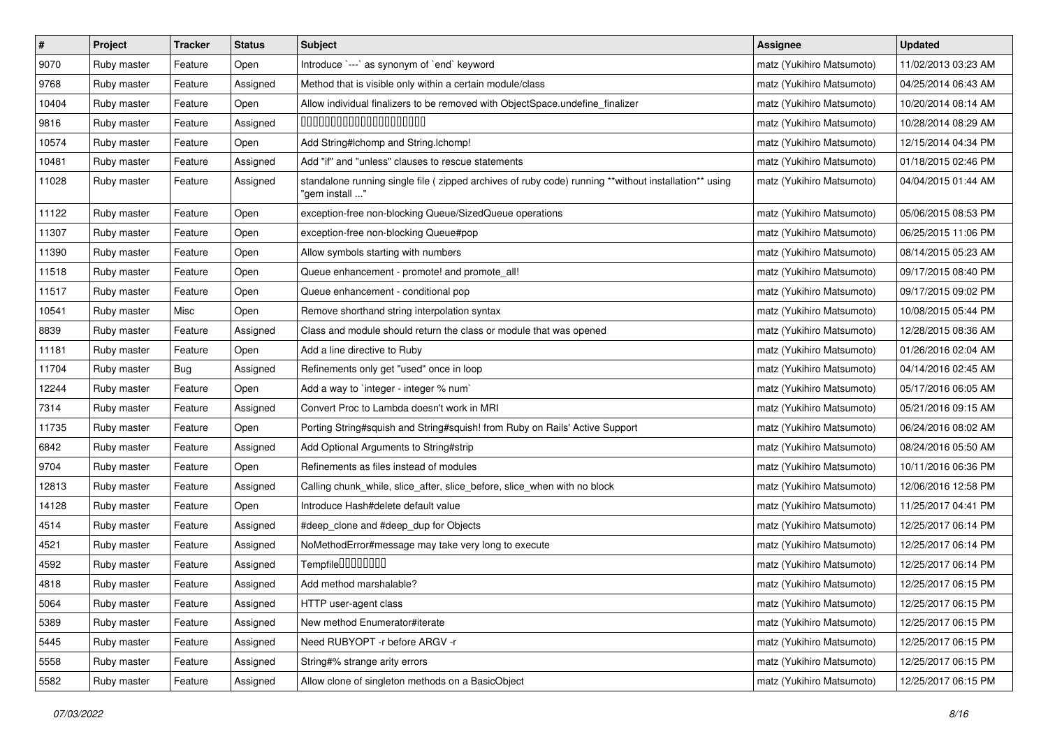| $\pmb{\#}$ | Project     | <b>Tracker</b> | <b>Status</b> | <b>Subject</b>                                                                                                         | <b>Assignee</b>           | <b>Updated</b>      |
|------------|-------------|----------------|---------------|------------------------------------------------------------------------------------------------------------------------|---------------------------|---------------------|
| 9070       | Ruby master | Feature        | Open          | Introduce `---` as synonym of `end` keyword                                                                            | matz (Yukihiro Matsumoto) | 11/02/2013 03:23 AM |
| 9768       | Ruby master | Feature        | Assigned      | Method that is visible only within a certain module/class                                                              | matz (Yukihiro Matsumoto) | 04/25/2014 06:43 AM |
| 10404      | Ruby master | Feature        | Open          | Allow individual finalizers to be removed with ObjectSpace.undefine_finalizer                                          | matz (Yukihiro Matsumoto) | 10/20/2014 08:14 AM |
| 9816       | Ruby master | Feature        | Assigned      | 00000000000000000000                                                                                                   | matz (Yukihiro Matsumoto) | 10/28/2014 08:29 AM |
| 10574      | Ruby master | Feature        | Open          | Add String#Ichomp and String.Ichomp!                                                                                   | matz (Yukihiro Matsumoto) | 12/15/2014 04:34 PM |
| 10481      | Ruby master | Feature        | Assigned      | Add "if" and "unless" clauses to rescue statements                                                                     | matz (Yukihiro Matsumoto) | 01/18/2015 02:46 PM |
| 11028      | Ruby master | Feature        | Assigned      | standalone running single file (zipped archives of ruby code) running **without installation** using<br>"gem install " | matz (Yukihiro Matsumoto) | 04/04/2015 01:44 AM |
| 11122      | Ruby master | Feature        | Open          | exception-free non-blocking Queue/SizedQueue operations                                                                | matz (Yukihiro Matsumoto) | 05/06/2015 08:53 PM |
| 11307      | Ruby master | Feature        | Open          | exception-free non-blocking Queue#pop                                                                                  | matz (Yukihiro Matsumoto) | 06/25/2015 11:06 PM |
| 11390      | Ruby master | Feature        | Open          | Allow symbols starting with numbers                                                                                    | matz (Yukihiro Matsumoto) | 08/14/2015 05:23 AM |
| 11518      | Ruby master | Feature        | Open          | Queue enhancement - promote! and promote_all!                                                                          | matz (Yukihiro Matsumoto) | 09/17/2015 08:40 PM |
| 11517      | Ruby master | Feature        | Open          | Queue enhancement - conditional pop                                                                                    | matz (Yukihiro Matsumoto) | 09/17/2015 09:02 PM |
| 10541      | Ruby master | Misc           | Open          | Remove shorthand string interpolation syntax                                                                           | matz (Yukihiro Matsumoto) | 10/08/2015 05:44 PM |
| 8839       | Ruby master | Feature        | Assigned      | Class and module should return the class or module that was opened                                                     | matz (Yukihiro Matsumoto) | 12/28/2015 08:36 AM |
| 11181      | Ruby master | Feature        | Open          | Add a line directive to Ruby                                                                                           | matz (Yukihiro Matsumoto) | 01/26/2016 02:04 AM |
| 11704      | Ruby master | Bug            | Assigned      | Refinements only get "used" once in loop                                                                               | matz (Yukihiro Matsumoto) | 04/14/2016 02:45 AM |
| 12244      | Ruby master | Feature        | Open          | Add a way to 'integer - integer % num'                                                                                 | matz (Yukihiro Matsumoto) | 05/17/2016 06:05 AM |
| 7314       | Ruby master | Feature        | Assigned      | Convert Proc to Lambda doesn't work in MRI                                                                             | matz (Yukihiro Matsumoto) | 05/21/2016 09:15 AM |
| 11735      | Ruby master | Feature        | Open          | Porting String#squish and String#squish! from Ruby on Rails' Active Support                                            | matz (Yukihiro Matsumoto) | 06/24/2016 08:02 AM |
| 6842       | Ruby master | Feature        | Assigned      | Add Optional Arguments to String#strip                                                                                 | matz (Yukihiro Matsumoto) | 08/24/2016 05:50 AM |
| 9704       | Ruby master | Feature        | Open          | Refinements as files instead of modules                                                                                | matz (Yukihiro Matsumoto) | 10/11/2016 06:36 PM |
| 12813      | Ruby master | Feature        | Assigned      | Calling chunk_while, slice_after, slice_before, slice_when with no block                                               | matz (Yukihiro Matsumoto) | 12/06/2016 12:58 PM |
| 14128      | Ruby master | Feature        | Open          | Introduce Hash#delete default value                                                                                    | matz (Yukihiro Matsumoto) | 11/25/2017 04:41 PM |
| 4514       | Ruby master | Feature        | Assigned      | #deep_clone and #deep_dup for Objects                                                                                  | matz (Yukihiro Matsumoto) | 12/25/2017 06:14 PM |
| 4521       | Ruby master | Feature        | Assigned      | NoMethodError#message may take very long to execute                                                                    | matz (Yukihiro Matsumoto) | 12/25/2017 06:14 PM |
| 4592       | Ruby master | Feature        | Assigned      | Tempfile0000000                                                                                                        | matz (Yukihiro Matsumoto) | 12/25/2017 06:14 PM |
| 4818       | Ruby master | Feature        | Assigned      | Add method marshalable?                                                                                                | matz (Yukihiro Matsumoto) | 12/25/2017 06:15 PM |
| 5064       | Ruby master | Feature        | Assigned      | HTTP user-agent class                                                                                                  | matz (Yukihiro Matsumoto) | 12/25/2017 06:15 PM |
| 5389       | Ruby master | Feature        | Assigned      | New method Enumerator#iterate                                                                                          | matz (Yukihiro Matsumoto) | 12/25/2017 06:15 PM |
| 5445       | Ruby master | Feature        | Assigned      | Need RUBYOPT - r before ARGV - r                                                                                       | matz (Yukihiro Matsumoto) | 12/25/2017 06:15 PM |
| 5558       | Ruby master | Feature        | Assigned      | String#% strange arity errors                                                                                          | matz (Yukihiro Matsumoto) | 12/25/2017 06:15 PM |
| 5582       | Ruby master | Feature        | Assigned      | Allow clone of singleton methods on a BasicObject                                                                      | matz (Yukihiro Matsumoto) | 12/25/2017 06:15 PM |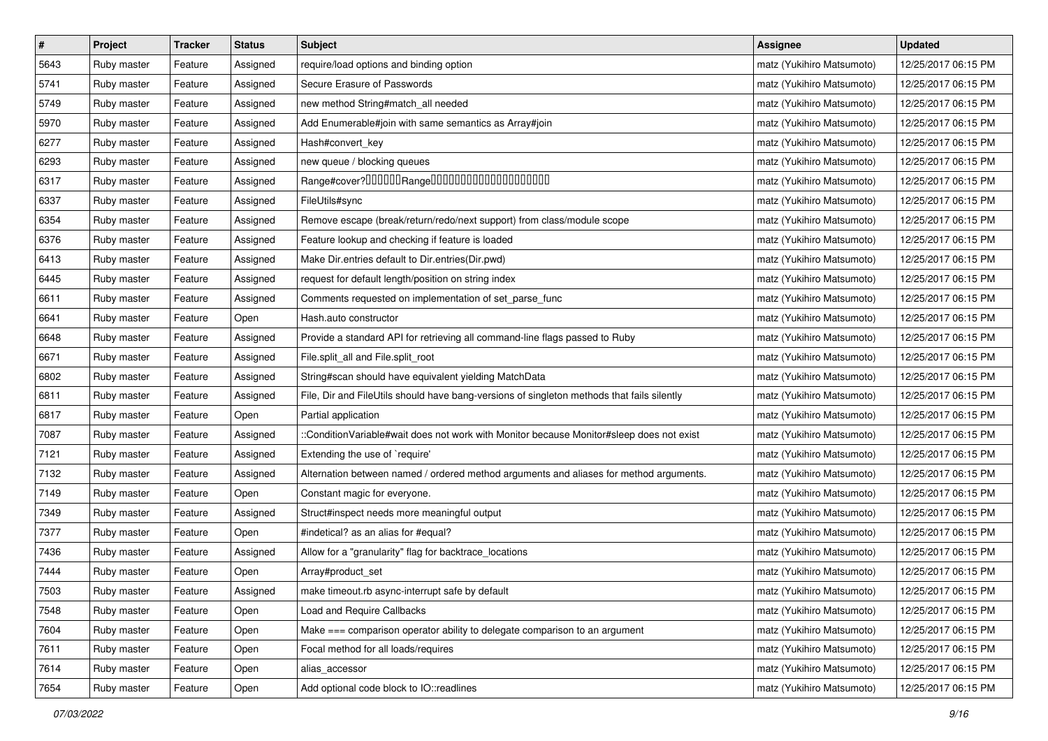| $\vert$ # | Project     | <b>Tracker</b> | <b>Status</b> | <b>Subject</b>                                                                             | <b>Assignee</b>           | <b>Updated</b>      |
|-----------|-------------|----------------|---------------|--------------------------------------------------------------------------------------------|---------------------------|---------------------|
| 5643      | Ruby master | Feature        | Assigned      | require/load options and binding option                                                    | matz (Yukihiro Matsumoto) | 12/25/2017 06:15 PM |
| 5741      | Ruby master | Feature        | Assigned      | Secure Erasure of Passwords                                                                | matz (Yukihiro Matsumoto) | 12/25/2017 06:15 PM |
| 5749      | Ruby master | Feature        | Assigned      | new method String#match_all needed                                                         | matz (Yukihiro Matsumoto) | 12/25/2017 06:15 PM |
| 5970      | Ruby master | Feature        | Assigned      | Add Enumerable#join with same semantics as Array#join                                      | matz (Yukihiro Matsumoto) | 12/25/2017 06:15 PM |
| 6277      | Ruby master | Feature        | Assigned      | Hash#convert_key                                                                           | matz (Yukihiro Matsumoto) | 12/25/2017 06:15 PM |
| 6293      | Ruby master | Feature        | Assigned      | new queue / blocking queues                                                                | matz (Yukihiro Matsumoto) | 12/25/2017 06:15 PM |
| 6317      | Ruby master | Feature        | Assigned      | Range#cover?000000Range00000000000000000000                                                | matz (Yukihiro Matsumoto) | 12/25/2017 06:15 PM |
| 6337      | Ruby master | Feature        | Assigned      | FileUtils#sync                                                                             | matz (Yukihiro Matsumoto) | 12/25/2017 06:15 PM |
| 6354      | Ruby master | Feature        | Assigned      | Remove escape (break/return/redo/next support) from class/module scope                     | matz (Yukihiro Matsumoto) | 12/25/2017 06:15 PM |
| 6376      | Ruby master | Feature        | Assigned      | Feature lookup and checking if feature is loaded                                           | matz (Yukihiro Matsumoto) | 12/25/2017 06:15 PM |
| 6413      | Ruby master | Feature        | Assigned      | Make Dir.entries default to Dir.entries(Dir.pwd)                                           | matz (Yukihiro Matsumoto) | 12/25/2017 06:15 PM |
| 6445      | Ruby master | Feature        | Assigned      | request for default length/position on string index                                        | matz (Yukihiro Matsumoto) | 12/25/2017 06:15 PM |
| 6611      | Ruby master | Feature        | Assigned      | Comments requested on implementation of set_parse_func                                     | matz (Yukihiro Matsumoto) | 12/25/2017 06:15 PM |
| 6641      | Ruby master | Feature        | Open          | Hash.auto constructor                                                                      | matz (Yukihiro Matsumoto) | 12/25/2017 06:15 PM |
| 6648      | Ruby master | Feature        | Assigned      | Provide a standard API for retrieving all command-line flags passed to Ruby                | matz (Yukihiro Matsumoto) | 12/25/2017 06:15 PM |
| 6671      | Ruby master | Feature        | Assigned      | File.split_all and File.split_root                                                         | matz (Yukihiro Matsumoto) | 12/25/2017 06:15 PM |
| 6802      | Ruby master | Feature        | Assigned      | String#scan should have equivalent yielding MatchData                                      | matz (Yukihiro Matsumoto) | 12/25/2017 06:15 PM |
| 6811      | Ruby master | Feature        | Assigned      | File, Dir and FileUtils should have bang-versions of singleton methods that fails silently | matz (Yukihiro Matsumoto) | 12/25/2017 06:15 PM |
| 6817      | Ruby master | Feature        | Open          | Partial application                                                                        | matz (Yukihiro Matsumoto) | 12/25/2017 06:15 PM |
| 7087      | Ruby master | Feature        | Assigned      | ::ConditionVariable#wait does not work with Monitor because Monitor#sleep does not exist   | matz (Yukihiro Matsumoto) | 12/25/2017 06:15 PM |
| 7121      | Ruby master | Feature        | Assigned      | Extending the use of `require'                                                             | matz (Yukihiro Matsumoto) | 12/25/2017 06:15 PM |
| 7132      | Ruby master | Feature        | Assigned      | Alternation between named / ordered method arguments and aliases for method arguments.     | matz (Yukihiro Matsumoto) | 12/25/2017 06:15 PM |
| 7149      | Ruby master | Feature        | Open          | Constant magic for everyone.                                                               | matz (Yukihiro Matsumoto) | 12/25/2017 06:15 PM |
| 7349      | Ruby master | Feature        | Assigned      | Struct#inspect needs more meaningful output                                                | matz (Yukihiro Matsumoto) | 12/25/2017 06:15 PM |
| 7377      | Ruby master | Feature        | Open          | #indetical? as an alias for #equal?                                                        | matz (Yukihiro Matsumoto) | 12/25/2017 06:15 PM |
| 7436      | Ruby master | Feature        | Assigned      | Allow for a "granularity" flag for backtrace_locations                                     | matz (Yukihiro Matsumoto) | 12/25/2017 06:15 PM |
| 7444      | Ruby master | Feature        | Open          | Array#product_set                                                                          | matz (Yukihiro Matsumoto) | 12/25/2017 06:15 PM |
| 7503      | Ruby master | Feature        | Assigned      | make timeout.rb async-interrupt safe by default                                            | matz (Yukihiro Matsumoto) | 12/25/2017 06:15 PM |
| 7548      | Ruby master | Feature        | Open          | <b>Load and Require Callbacks</b>                                                          | matz (Yukihiro Matsumoto) | 12/25/2017 06:15 PM |
| 7604      | Ruby master | Feature        | Open          | Make === comparison operator ability to delegate comparison to an argument                 | matz (Yukihiro Matsumoto) | 12/25/2017 06:15 PM |
| 7611      | Ruby master | Feature        | Open          | Focal method for all loads/requires                                                        | matz (Yukihiro Matsumoto) | 12/25/2017 06:15 PM |
| 7614      | Ruby master | Feature        | Open          | alias_accessor                                                                             | matz (Yukihiro Matsumoto) | 12/25/2017 06:15 PM |
| 7654      | Ruby master | Feature        | Open          | Add optional code block to IO::readlines                                                   | matz (Yukihiro Matsumoto) | 12/25/2017 06:15 PM |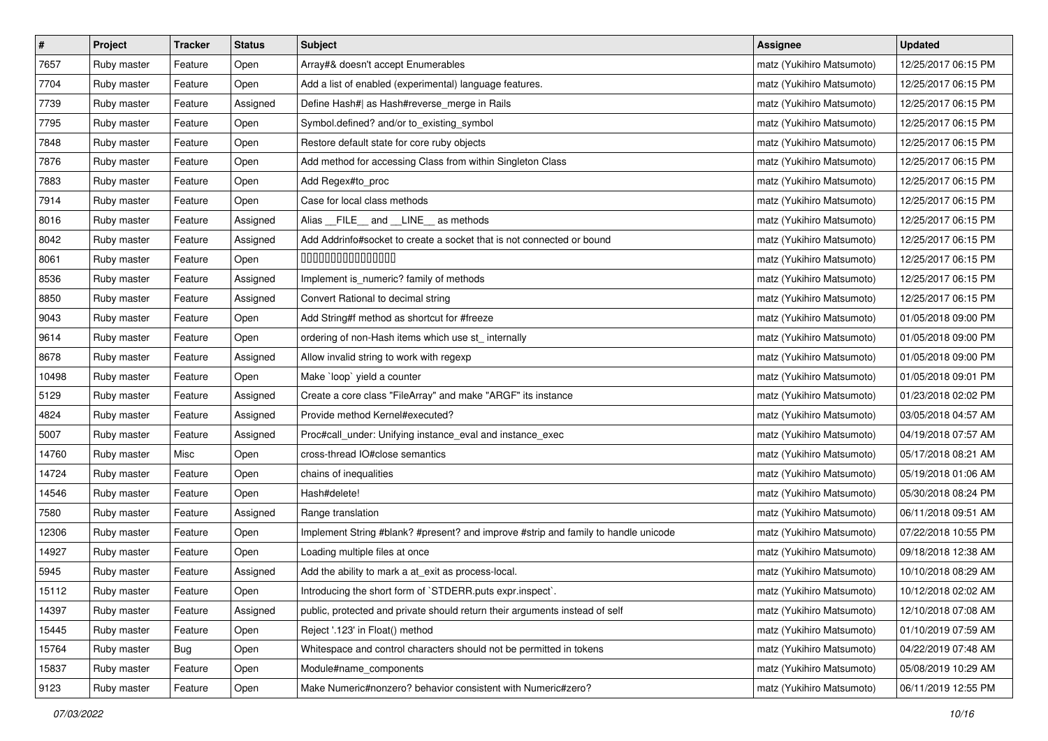| $\pmb{\#}$ | Project     | <b>Tracker</b> | <b>Status</b> | <b>Subject</b>                                                                     | <b>Assignee</b>           | <b>Updated</b>      |
|------------|-------------|----------------|---------------|------------------------------------------------------------------------------------|---------------------------|---------------------|
| 7657       | Ruby master | Feature        | Open          | Array#& doesn't accept Enumerables                                                 | matz (Yukihiro Matsumoto) | 12/25/2017 06:15 PM |
| 7704       | Ruby master | Feature        | Open          | Add a list of enabled (experimental) language features.                            | matz (Yukihiro Matsumoto) | 12/25/2017 06:15 PM |
| 7739       | Ruby master | Feature        | Assigned      | Define Hash#  as Hash#reverse_merge in Rails                                       | matz (Yukihiro Matsumoto) | 12/25/2017 06:15 PM |
| 7795       | Ruby master | Feature        | Open          | Symbol.defined? and/or to_existing_symbol                                          | matz (Yukihiro Matsumoto) | 12/25/2017 06:15 PM |
| 7848       | Ruby master | Feature        | Open          | Restore default state for core ruby objects                                        | matz (Yukihiro Matsumoto) | 12/25/2017 06:15 PM |
| 7876       | Ruby master | Feature        | Open          | Add method for accessing Class from within Singleton Class                         | matz (Yukihiro Matsumoto) | 12/25/2017 06:15 PM |
| 7883       | Ruby master | Feature        | Open          | Add Regex#to_proc                                                                  | matz (Yukihiro Matsumoto) | 12/25/2017 06:15 PM |
| 7914       | Ruby master | Feature        | Open          | Case for local class methods                                                       | matz (Yukihiro Matsumoto) | 12/25/2017 06:15 PM |
| 8016       | Ruby master | Feature        | Assigned      | Alias __FILE__ and __LINE__ as methods                                             | matz (Yukihiro Matsumoto) | 12/25/2017 06:15 PM |
| 8042       | Ruby master | Feature        | Assigned      | Add Addrinfo#socket to create a socket that is not connected or bound              | matz (Yukihiro Matsumoto) | 12/25/2017 06:15 PM |
| 8061       | Ruby master | Feature        | Open          | 000000000000000                                                                    | matz (Yukihiro Matsumoto) | 12/25/2017 06:15 PM |
| 8536       | Ruby master | Feature        | Assigned      | Implement is_numeric? family of methods                                            | matz (Yukihiro Matsumoto) | 12/25/2017 06:15 PM |
| 8850       | Ruby master | Feature        | Assigned      | Convert Rational to decimal string                                                 | matz (Yukihiro Matsumoto) | 12/25/2017 06:15 PM |
| 9043       | Ruby master | Feature        | Open          | Add String#f method as shortcut for #freeze                                        | matz (Yukihiro Matsumoto) | 01/05/2018 09:00 PM |
| 9614       | Ruby master | Feature        | Open          | ordering of non-Hash items which use st_ internally                                | matz (Yukihiro Matsumoto) | 01/05/2018 09:00 PM |
| 8678       | Ruby master | Feature        | Assigned      | Allow invalid string to work with regexp                                           | matz (Yukihiro Matsumoto) | 01/05/2018 09:00 PM |
| 10498      | Ruby master | Feature        | Open          | Make 'loop' yield a counter                                                        | matz (Yukihiro Matsumoto) | 01/05/2018 09:01 PM |
| 5129       | Ruby master | Feature        | Assigned      | Create a core class "FileArray" and make "ARGF" its instance                       | matz (Yukihiro Matsumoto) | 01/23/2018 02:02 PM |
| 4824       | Ruby master | Feature        | Assigned      | Provide method Kernel#executed?                                                    | matz (Yukihiro Matsumoto) | 03/05/2018 04:57 AM |
| 5007       | Ruby master | Feature        | Assigned      | Proc#call_under: Unifying instance_eval and instance_exec                          | matz (Yukihiro Matsumoto) | 04/19/2018 07:57 AM |
| 14760      | Ruby master | Misc           | Open          | cross-thread IO#close semantics                                                    | matz (Yukihiro Matsumoto) | 05/17/2018 08:21 AM |
| 14724      | Ruby master | Feature        | Open          | chains of inequalities                                                             | matz (Yukihiro Matsumoto) | 05/19/2018 01:06 AM |
| 14546      | Ruby master | Feature        | Open          | Hash#delete!                                                                       | matz (Yukihiro Matsumoto) | 05/30/2018 08:24 PM |
| 7580       | Ruby master | Feature        | Assigned      | Range translation                                                                  | matz (Yukihiro Matsumoto) | 06/11/2018 09:51 AM |
| 12306      | Ruby master | Feature        | Open          | Implement String #blank? #present? and improve #strip and family to handle unicode | matz (Yukihiro Matsumoto) | 07/22/2018 10:55 PM |
| 14927      | Ruby master | Feature        | Open          | Loading multiple files at once                                                     | matz (Yukihiro Matsumoto) | 09/18/2018 12:38 AM |
| 5945       | Ruby master | Feature        | Assigned      | Add the ability to mark a at_exit as process-local.                                | matz (Yukihiro Matsumoto) | 10/10/2018 08:29 AM |
| 15112      | Ruby master | Feature        | Open          | Introducing the short form of `STDERR.puts expr.inspect`.                          | matz (Yukihiro Matsumoto) | 10/12/2018 02:02 AM |
| 14397      | Ruby master | Feature        | Assigned      | public, protected and private should return their arguments instead of self        | matz (Yukihiro Matsumoto) | 12/10/2018 07:08 AM |
| 15445      | Ruby master | Feature        | Open          | Reject '.123' in Float() method                                                    | matz (Yukihiro Matsumoto) | 01/10/2019 07:59 AM |
| 15764      | Ruby master | Bug            | Open          | Whitespace and control characters should not be permitted in tokens                | matz (Yukihiro Matsumoto) | 04/22/2019 07:48 AM |
| 15837      | Ruby master | Feature        | Open          | Module#name_components                                                             | matz (Yukihiro Matsumoto) | 05/08/2019 10:29 AM |
| 9123       | Ruby master | Feature        | Open          | Make Numeric#nonzero? behavior consistent with Numeric#zero?                       | matz (Yukihiro Matsumoto) | 06/11/2019 12:55 PM |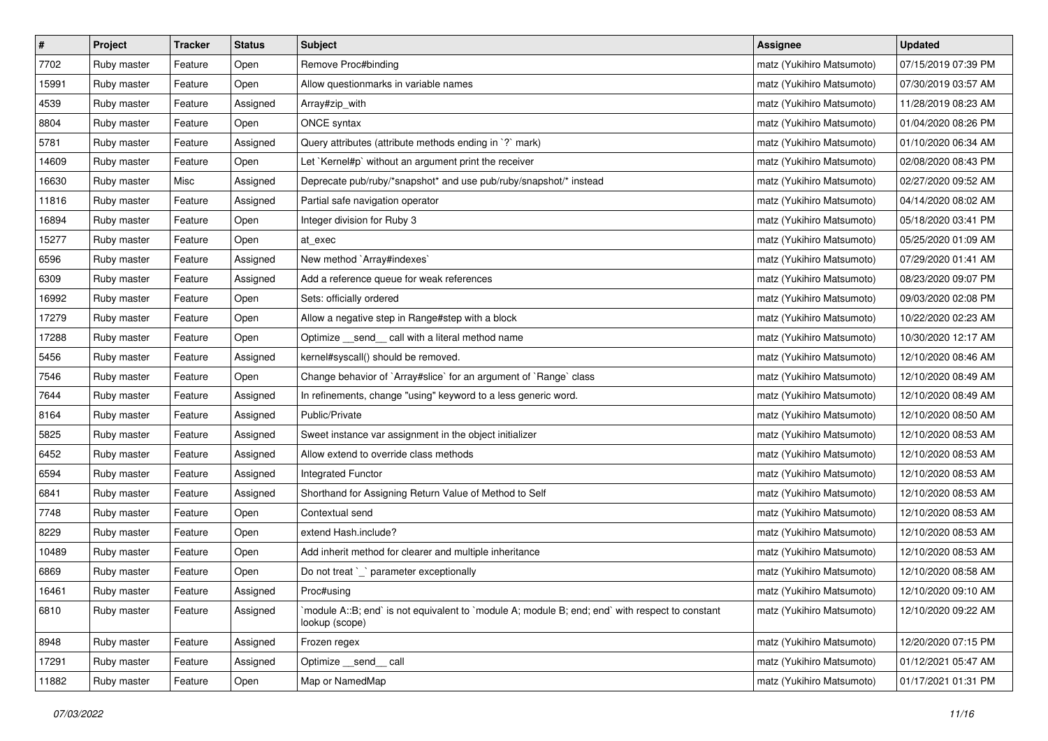| $\pmb{\#}$ | Project     | <b>Tracker</b> | <b>Status</b> | <b>Subject</b>                                                                                                   | <b>Assignee</b>           | <b>Updated</b>      |
|------------|-------------|----------------|---------------|------------------------------------------------------------------------------------------------------------------|---------------------------|---------------------|
| 7702       | Ruby master | Feature        | Open          | Remove Proc#binding                                                                                              | matz (Yukihiro Matsumoto) | 07/15/2019 07:39 PM |
| 15991      | Ruby master | Feature        | Open          | Allow questionmarks in variable names                                                                            | matz (Yukihiro Matsumoto) | 07/30/2019 03:57 AM |
| 4539       | Ruby master | Feature        | Assigned      | Array#zip_with                                                                                                   | matz (Yukihiro Matsumoto) | 11/28/2019 08:23 AM |
| 8804       | Ruby master | Feature        | Open          | ONCE syntax                                                                                                      | matz (Yukihiro Matsumoto) | 01/04/2020 08:26 PM |
| 5781       | Ruby master | Feature        | Assigned      | Query attributes (attribute methods ending in `?` mark)                                                          | matz (Yukihiro Matsumoto) | 01/10/2020 06:34 AM |
| 14609      | Ruby master | Feature        | Open          | Let `Kernel#p` without an argument print the receiver                                                            | matz (Yukihiro Matsumoto) | 02/08/2020 08:43 PM |
| 16630      | Ruby master | Misc           | Assigned      | Deprecate pub/ruby/*snapshot* and use pub/ruby/snapshot/* instead                                                | matz (Yukihiro Matsumoto) | 02/27/2020 09:52 AM |
| 11816      | Ruby master | Feature        | Assigned      | Partial safe navigation operator                                                                                 | matz (Yukihiro Matsumoto) | 04/14/2020 08:02 AM |
| 16894      | Ruby master | Feature        | Open          | Integer division for Ruby 3                                                                                      | matz (Yukihiro Matsumoto) | 05/18/2020 03:41 PM |
| 15277      | Ruby master | Feature        | Open          | at_exec                                                                                                          | matz (Yukihiro Matsumoto) | 05/25/2020 01:09 AM |
| 6596       | Ruby master | Feature        | Assigned      | New method `Array#indexes`                                                                                       | matz (Yukihiro Matsumoto) | 07/29/2020 01:41 AM |
| 6309       | Ruby master | Feature        | Assigned      | Add a reference queue for weak references                                                                        | matz (Yukihiro Matsumoto) | 08/23/2020 09:07 PM |
| 16992      | Ruby master | Feature        | Open          | Sets: officially ordered                                                                                         | matz (Yukihiro Matsumoto) | 09/03/2020 02:08 PM |
| 17279      | Ruby master | Feature        | Open          | Allow a negative step in Range#step with a block                                                                 | matz (Yukihiro Matsumoto) | 10/22/2020 02:23 AM |
| 17288      | Ruby master | Feature        | Open          | Optimize _send_ call with a literal method name                                                                  | matz (Yukihiro Matsumoto) | 10/30/2020 12:17 AM |
| 5456       | Ruby master | Feature        | Assigned      | kernel#syscall() should be removed.                                                                              | matz (Yukihiro Matsumoto) | 12/10/2020 08:46 AM |
| 7546       | Ruby master | Feature        | Open          | Change behavior of `Array#slice` for an argument of `Range` class                                                | matz (Yukihiro Matsumoto) | 12/10/2020 08:49 AM |
| 7644       | Ruby master | Feature        | Assigned      | In refinements, change "using" keyword to a less generic word.                                                   | matz (Yukihiro Matsumoto) | 12/10/2020 08:49 AM |
| 8164       | Ruby master | Feature        | Assigned      | Public/Private                                                                                                   | matz (Yukihiro Matsumoto) | 12/10/2020 08:50 AM |
| 5825       | Ruby master | Feature        | Assigned      | Sweet instance var assignment in the object initializer                                                          | matz (Yukihiro Matsumoto) | 12/10/2020 08:53 AM |
| 6452       | Ruby master | Feature        | Assigned      | Allow extend to override class methods                                                                           | matz (Yukihiro Matsumoto) | 12/10/2020 08:53 AM |
| 6594       | Ruby master | Feature        | Assigned      | Integrated Functor                                                                                               | matz (Yukihiro Matsumoto) | 12/10/2020 08:53 AM |
| 6841       | Ruby master | Feature        | Assigned      | Shorthand for Assigning Return Value of Method to Self                                                           | matz (Yukihiro Matsumoto) | 12/10/2020 08:53 AM |
| 7748       | Ruby master | Feature        | Open          | Contextual send                                                                                                  | matz (Yukihiro Matsumoto) | 12/10/2020 08:53 AM |
| 8229       | Ruby master | Feature        | Open          | extend Hash.include?                                                                                             | matz (Yukihiro Matsumoto) | 12/10/2020 08:53 AM |
| 10489      | Ruby master | Feature        | Open          | Add inherit method for clearer and multiple inheritance                                                          | matz (Yukihiro Matsumoto) | 12/10/2020 08:53 AM |
| 6869       | Ruby master | Feature        | Open          | Do not treat `_` parameter exceptionally                                                                         | matz (Yukihiro Matsumoto) | 12/10/2020 08:58 AM |
| 16461      | Ruby master | Feature        | Assigned      | Proc#using                                                                                                       | matz (Yukihiro Matsumoto) | 12/10/2020 09:10 AM |
| 6810       | Ruby master | Feature        | Assigned      | module A::B; end` is not equivalent to `module A; module B; end; end` with respect to constant<br>lookup (scope) | matz (Yukihiro Matsumoto) | 12/10/2020 09:22 AM |
| 8948       | Ruby master | Feature        | Assigned      | Frozen regex                                                                                                     | matz (Yukihiro Matsumoto) | 12/20/2020 07:15 PM |
| 17291      | Ruby master | Feature        | Assigned      | Optimize send call                                                                                               | matz (Yukihiro Matsumoto) | 01/12/2021 05:47 AM |
| 11882      | Ruby master | Feature        | Open          | Map or NamedMap                                                                                                  | matz (Yukihiro Matsumoto) | 01/17/2021 01:31 PM |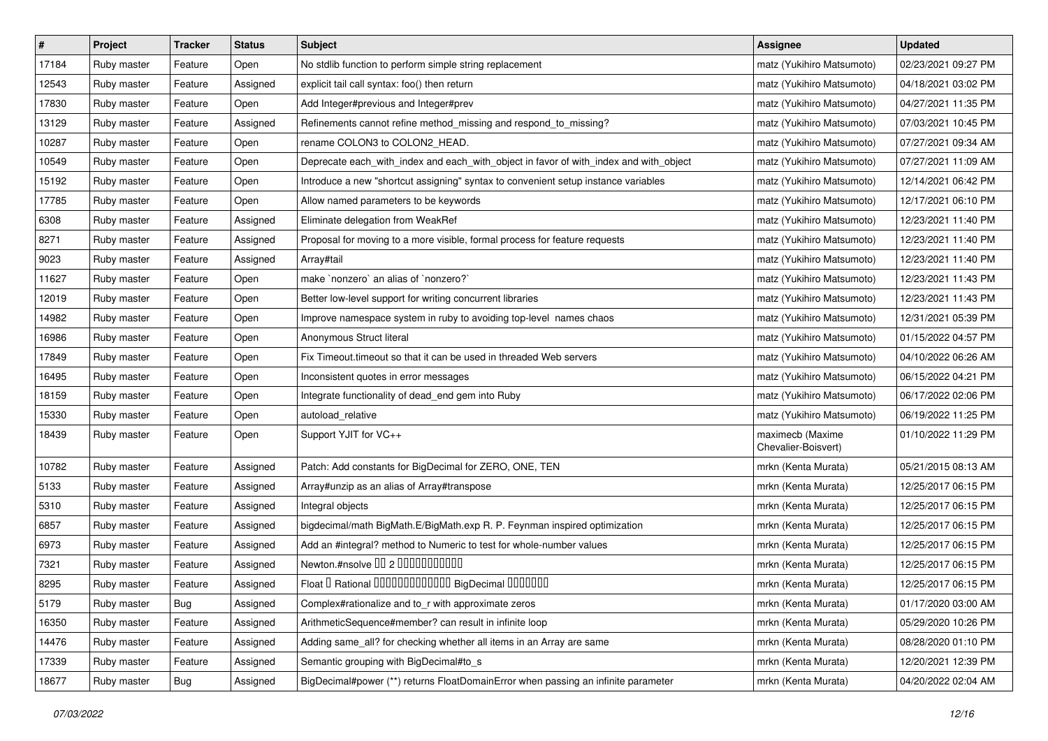| $\vert$ # | Project     | <b>Tracker</b> | <b>Status</b> | Subject                                                                               | <b>Assignee</b>                         | <b>Updated</b>      |
|-----------|-------------|----------------|---------------|---------------------------------------------------------------------------------------|-----------------------------------------|---------------------|
| 17184     | Ruby master | Feature        | Open          | No stdlib function to perform simple string replacement                               | matz (Yukihiro Matsumoto)               | 02/23/2021 09:27 PM |
| 12543     | Ruby master | Feature        | Assigned      | explicit tail call syntax: foo() then return                                          | matz (Yukihiro Matsumoto)               | 04/18/2021 03:02 PM |
| 17830     | Ruby master | Feature        | Open          | Add Integer#previous and Integer#prev                                                 | matz (Yukihiro Matsumoto)               | 04/27/2021 11:35 PM |
| 13129     | Ruby master | Feature        | Assigned      | Refinements cannot refine method_missing and respond_to_missing?                      | matz (Yukihiro Matsumoto)               | 07/03/2021 10:45 PM |
| 10287     | Ruby master | Feature        | Open          | rename COLON3 to COLON2_HEAD.                                                         | matz (Yukihiro Matsumoto)               | 07/27/2021 09:34 AM |
| 10549     | Ruby master | Feature        | Open          | Deprecate each_with_index and each_with_object in favor of with_index and with_object | matz (Yukihiro Matsumoto)               | 07/27/2021 11:09 AM |
| 15192     | Ruby master | Feature        | Open          | Introduce a new "shortcut assigning" syntax to convenient setup instance variables    | matz (Yukihiro Matsumoto)               | 12/14/2021 06:42 PM |
| 17785     | Ruby master | Feature        | Open          | Allow named parameters to be keywords                                                 | matz (Yukihiro Matsumoto)               | 12/17/2021 06:10 PM |
| 6308      | Ruby master | Feature        | Assigned      | Eliminate delegation from WeakRef                                                     | matz (Yukihiro Matsumoto)               | 12/23/2021 11:40 PM |
| 8271      | Ruby master | Feature        | Assigned      | Proposal for moving to a more visible, formal process for feature requests            | matz (Yukihiro Matsumoto)               | 12/23/2021 11:40 PM |
| 9023      | Ruby master | Feature        | Assigned      | Array#tail                                                                            | matz (Yukihiro Matsumoto)               | 12/23/2021 11:40 PM |
| 11627     | Ruby master | Feature        | Open          | make `nonzero` an alias of `nonzero?`                                                 | matz (Yukihiro Matsumoto)               | 12/23/2021 11:43 PM |
| 12019     | Ruby master | Feature        | Open          | Better low-level support for writing concurrent libraries                             | matz (Yukihiro Matsumoto)               | 12/23/2021 11:43 PM |
| 14982     | Ruby master | Feature        | Open          | Improve namespace system in ruby to avoiding top-level names chaos                    | matz (Yukihiro Matsumoto)               | 12/31/2021 05:39 PM |
| 16986     | Ruby master | Feature        | Open          | Anonymous Struct literal                                                              | matz (Yukihiro Matsumoto)               | 01/15/2022 04:57 PM |
| 17849     | Ruby master | Feature        | Open          | Fix Timeout timeout so that it can be used in threaded Web servers                    | matz (Yukihiro Matsumoto)               | 04/10/2022 06:26 AM |
| 16495     | Ruby master | Feature        | Open          | Inconsistent quotes in error messages                                                 | matz (Yukihiro Matsumoto)               | 06/15/2022 04:21 PM |
| 18159     | Ruby master | Feature        | Open          | Integrate functionality of dead_end gem into Ruby                                     | matz (Yukihiro Matsumoto)               | 06/17/2022 02:06 PM |
| 15330     | Ruby master | Feature        | Open          | autoload_relative                                                                     | matz (Yukihiro Matsumoto)               | 06/19/2022 11:25 PM |
| 18439     | Ruby master | Feature        | Open          | Support YJIT for VC++                                                                 | maximecb (Maxime<br>Chevalier-Boisvert) | 01/10/2022 11:29 PM |
| 10782     | Ruby master | Feature        | Assigned      | Patch: Add constants for BigDecimal for ZERO, ONE, TEN                                | mrkn (Kenta Murata)                     | 05/21/2015 08:13 AM |
| 5133      | Ruby master | Feature        | Assigned      | Array#unzip as an alias of Array#transpose                                            | mrkn (Kenta Murata)                     | 12/25/2017 06:15 PM |
| 5310      | Ruby master | Feature        | Assigned      | Integral objects                                                                      | mrkn (Kenta Murata)                     | 12/25/2017 06:15 PM |
| 6857      | Ruby master | Feature        | Assigned      | bigdecimal/math BigMath.E/BigMath.exp R. P. Feynman inspired optimization             | mrkn (Kenta Murata)                     | 12/25/2017 06:15 PM |
| 6973      | Ruby master | Feature        | Assigned      | Add an #integral? method to Numeric to test for whole-number values                   | mrkn (Kenta Murata)                     | 12/25/2017 06:15 PM |
| 7321      | Ruby master | Feature        | Assigned      | Newton.#nsolve 00 2 0000000000                                                        | mrkn (Kenta Murata)                     | 12/25/2017 06:15 PM |
| 8295      | Ruby master | Feature        | Assigned      | Float I Rational 0000000000000 BigDecimal 0000000                                     | mrkn (Kenta Murata)                     | 12/25/2017 06:15 PM |
| 5179      | Ruby master | Bug            | Assigned      | Complex#rationalize and to_r with approximate zeros                                   | mrkn (Kenta Murata)                     | 01/17/2020 03:00 AM |
| 16350     | Ruby master | Feature        | Assigned      | ArithmeticSequence#member? can result in infinite loop                                | mrkn (Kenta Murata)                     | 05/29/2020 10:26 PM |
| 14476     | Ruby master | Feature        | Assigned      | Adding same_all? for checking whether all items in an Array are same                  | mrkn (Kenta Murata)                     | 08/28/2020 01:10 PM |
| 17339     | Ruby master | Feature        | Assigned      | Semantic grouping with BigDecimal#to_s                                                | mrkn (Kenta Murata)                     | 12/20/2021 12:39 PM |
| 18677     | Ruby master | <b>Bug</b>     | Assigned      | BigDecimal#power (**) returns FloatDomainError when passing an infinite parameter     | mrkn (Kenta Murata)                     | 04/20/2022 02:04 AM |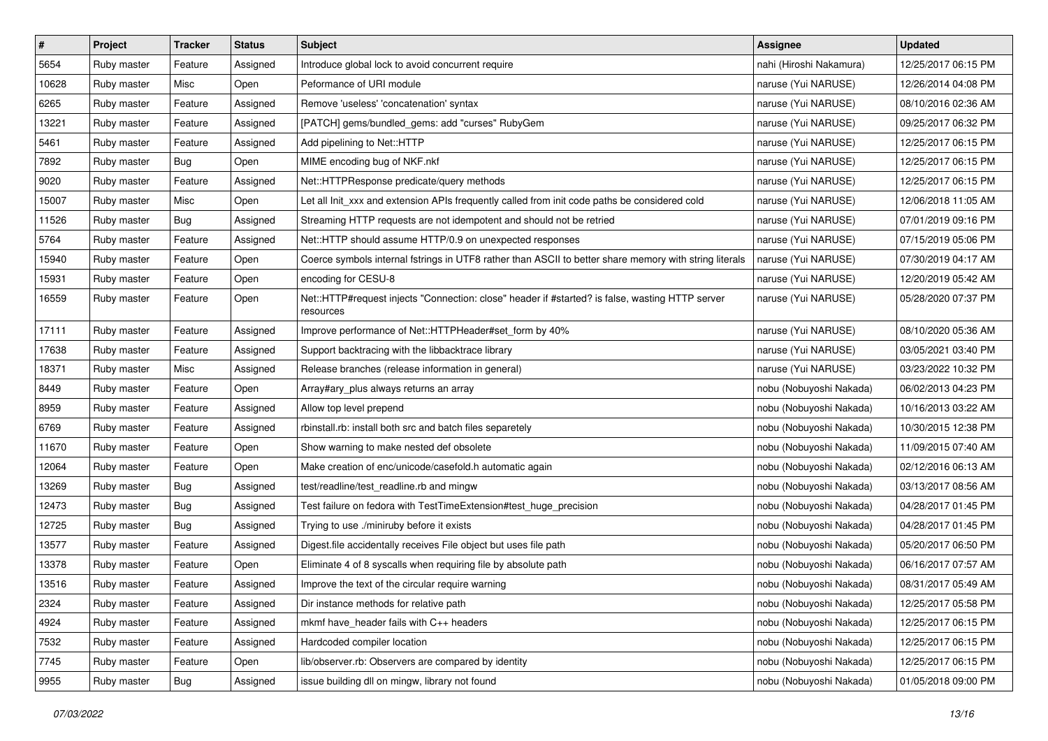| $\pmb{\#}$ | Project     | <b>Tracker</b> | <b>Status</b> | <b>Subject</b>                                                                                               | <b>Assignee</b>         | <b>Updated</b>      |
|------------|-------------|----------------|---------------|--------------------------------------------------------------------------------------------------------------|-------------------------|---------------------|
| 5654       | Ruby master | Feature        | Assigned      | Introduce global lock to avoid concurrent require                                                            | nahi (Hiroshi Nakamura) | 12/25/2017 06:15 PM |
| 10628      | Ruby master | Misc           | Open          | Peformance of URI module                                                                                     | naruse (Yui NARUSE)     | 12/26/2014 04:08 PM |
| 6265       | Ruby master | Feature        | Assigned      | Remove 'useless' 'concatenation' syntax                                                                      | naruse (Yui NARUSE)     | 08/10/2016 02:36 AM |
| 13221      | Ruby master | Feature        | Assigned      | [PATCH] gems/bundled_gems: add "curses" RubyGem                                                              | naruse (Yui NARUSE)     | 09/25/2017 06:32 PM |
| 5461       | Ruby master | Feature        | Assigned      | Add pipelining to Net::HTTP                                                                                  | naruse (Yui NARUSE)     | 12/25/2017 06:15 PM |
| 7892       | Ruby master | Bug            | Open          | MIME encoding bug of NKF.nkf                                                                                 | naruse (Yui NARUSE)     | 12/25/2017 06:15 PM |
| 9020       | Ruby master | Feature        | Assigned      | Net::HTTPResponse predicate/query methods                                                                    | naruse (Yui NARUSE)     | 12/25/2017 06:15 PM |
| 15007      | Ruby master | Misc           | Open          | Let all Init_xxx and extension APIs frequently called from init code paths be considered cold                | naruse (Yui NARUSE)     | 12/06/2018 11:05 AM |
| 11526      | Ruby master | <b>Bug</b>     | Assigned      | Streaming HTTP requests are not idempotent and should not be retried                                         | naruse (Yui NARUSE)     | 07/01/2019 09:16 PM |
| 5764       | Ruby master | Feature        | Assigned      | Net::HTTP should assume HTTP/0.9 on unexpected responses                                                     | naruse (Yui NARUSE)     | 07/15/2019 05:06 PM |
| 15940      | Ruby master | Feature        | Open          | Coerce symbols internal fstrings in UTF8 rather than ASCII to better share memory with string literals       | naruse (Yui NARUSE)     | 07/30/2019 04:17 AM |
| 15931      | Ruby master | Feature        | Open          | encoding for CESU-8                                                                                          | naruse (Yui NARUSE)     | 12/20/2019 05:42 AM |
| 16559      | Ruby master | Feature        | Open          | Net::HTTP#request injects "Connection: close" header if #started? is false, wasting HTTP server<br>resources | naruse (Yui NARUSE)     | 05/28/2020 07:37 PM |
| 17111      | Ruby master | Feature        | Assigned      | Improve performance of Net::HTTPHeader#set_form by 40%                                                       | naruse (Yui NARUSE)     | 08/10/2020 05:36 AM |
| 17638      | Ruby master | Feature        | Assigned      | Support backtracing with the libbacktrace library                                                            | naruse (Yui NARUSE)     | 03/05/2021 03:40 PM |
| 18371      | Ruby master | Misc           | Assigned      | Release branches (release information in general)                                                            | naruse (Yui NARUSE)     | 03/23/2022 10:32 PM |
| 8449       | Ruby master | Feature        | Open          | Array#ary plus always returns an array                                                                       | nobu (Nobuyoshi Nakada) | 06/02/2013 04:23 PM |
| 8959       | Ruby master | Feature        | Assigned      | Allow top level prepend                                                                                      | nobu (Nobuyoshi Nakada) | 10/16/2013 03:22 AM |
| 6769       | Ruby master | Feature        | Assigned      | rbinstall.rb: install both src and batch files separetely                                                    | nobu (Nobuyoshi Nakada) | 10/30/2015 12:38 PM |
| 11670      | Ruby master | Feature        | Open          | Show warning to make nested def obsolete                                                                     | nobu (Nobuyoshi Nakada) | 11/09/2015 07:40 AM |
| 12064      | Ruby master | Feature        | Open          | Make creation of enc/unicode/casefold.h automatic again                                                      | nobu (Nobuyoshi Nakada) | 02/12/2016 06:13 AM |
| 13269      | Ruby master | Bug            | Assigned      | test/readline/test_readline.rb and mingw                                                                     | nobu (Nobuyoshi Nakada) | 03/13/2017 08:56 AM |
| 12473      | Ruby master | <b>Bug</b>     | Assigned      | Test failure on fedora with TestTimeExtension#test_huge_precision                                            | nobu (Nobuyoshi Nakada) | 04/28/2017 01:45 PM |
| 12725      | Ruby master | <b>Bug</b>     | Assigned      | Trying to use ./miniruby before it exists                                                                    | nobu (Nobuyoshi Nakada) | 04/28/2017 01:45 PM |
| 13577      | Ruby master | Feature        | Assigned      | Digest.file accidentally receives File object but uses file path                                             | nobu (Nobuyoshi Nakada) | 05/20/2017 06:50 PM |
| 13378      | Ruby master | Feature        | Open          | Eliminate 4 of 8 syscalls when requiring file by absolute path                                               | nobu (Nobuyoshi Nakada) | 06/16/2017 07:57 AM |
| 13516      | Ruby master | Feature        | Assigned      | Improve the text of the circular require warning                                                             | nobu (Nobuyoshi Nakada) | 08/31/2017 05:49 AM |
| 2324       | Ruby master | Feature        | Assigned      | Dir instance methods for relative path                                                                       | nobu (Nobuyoshi Nakada) | 12/25/2017 05:58 PM |
| 4924       | Ruby master | Feature        | Assigned      | mkmf have_header fails with C++ headers                                                                      | nobu (Nobuyoshi Nakada) | 12/25/2017 06:15 PM |
| 7532       | Ruby master | Feature        | Assigned      | Hardcoded compiler location                                                                                  | nobu (Nobuyoshi Nakada) | 12/25/2017 06:15 PM |
| 7745       | Ruby master | Feature        | Open          | lib/observer.rb: Observers are compared by identity                                                          | nobu (Nobuyoshi Nakada) | 12/25/2017 06:15 PM |
| 9955       | Ruby master | Bug            | Assigned      | issue building dll on mingw, library not found                                                               | nobu (Nobuyoshi Nakada) | 01/05/2018 09:00 PM |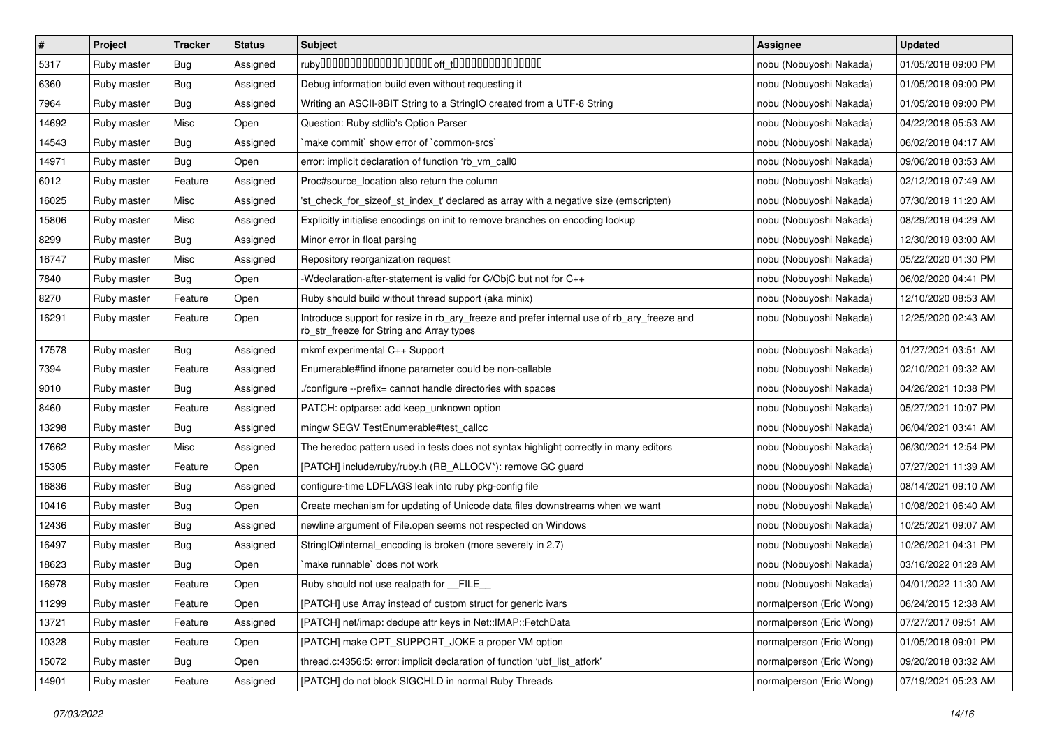| $\pmb{\#}$ | Project     | <b>Tracker</b> | <b>Status</b> | <b>Subject</b>                                                                                                                         | <b>Assignee</b>          | <b>Updated</b>      |
|------------|-------------|----------------|---------------|----------------------------------------------------------------------------------------------------------------------------------------|--------------------------|---------------------|
| 5317       | Ruby master | Bug            | Assigned      |                                                                                                                                        | nobu (Nobuyoshi Nakada)  | 01/05/2018 09:00 PM |
| 6360       | Ruby master | Bug            | Assigned      | Debug information build even without requesting it                                                                                     | nobu (Nobuyoshi Nakada)  | 01/05/2018 09:00 PM |
| 7964       | Ruby master | Bug            | Assigned      | Writing an ASCII-8BIT String to a StringIO created from a UTF-8 String                                                                 | nobu (Nobuyoshi Nakada)  | 01/05/2018 09:00 PM |
| 14692      | Ruby master | Misc           | Open          | Question: Ruby stdlib's Option Parser                                                                                                  | nobu (Nobuyoshi Nakada)  | 04/22/2018 05:53 AM |
| 14543      | Ruby master | Bug            | Assigned      | `make commit` show error of `common-srcs`                                                                                              | nobu (Nobuyoshi Nakada)  | 06/02/2018 04:17 AM |
| 14971      | Ruby master | Bug            | Open          | error: implicit declaration of function 'rb vm call0                                                                                   | nobu (Nobuyoshi Nakada)  | 09/06/2018 03:53 AM |
| 6012       | Ruby master | Feature        | Assigned      | Proc#source_location also return the column                                                                                            | nobu (Nobuyoshi Nakada)  | 02/12/2019 07:49 AM |
| 16025      | Ruby master | Misc           | Assigned      | 'st check for sizeof st index t' declared as array with a negative size (emscripten)                                                   | nobu (Nobuyoshi Nakada)  | 07/30/2019 11:20 AM |
| 15806      | Ruby master | Misc           | Assigned      | Explicitly initialise encodings on init to remove branches on encoding lookup                                                          | nobu (Nobuyoshi Nakada)  | 08/29/2019 04:29 AM |
| 8299       | Ruby master | <b>Bug</b>     | Assigned      | Minor error in float parsing                                                                                                           | nobu (Nobuyoshi Nakada)  | 12/30/2019 03:00 AM |
| 16747      | Ruby master | Misc           | Assigned      | Repository reorganization request                                                                                                      | nobu (Nobuyoshi Nakada)  | 05/22/2020 01:30 PM |
| 7840       | Ruby master | Bug            | Open          | -Wdeclaration-after-statement is valid for C/ObjC but not for C++                                                                      | nobu (Nobuyoshi Nakada)  | 06/02/2020 04:41 PM |
| 8270       | Ruby master | Feature        | Open          | Ruby should build without thread support (aka minix)                                                                                   | nobu (Nobuyoshi Nakada)  | 12/10/2020 08:53 AM |
| 16291      | Ruby master | Feature        | Open          | Introduce support for resize in rb_ary_freeze and prefer internal use of rb_ary_freeze and<br>rb_str_freeze for String and Array types | nobu (Nobuyoshi Nakada)  | 12/25/2020 02:43 AM |
| 17578      | Ruby master | Bug            | Assigned      | mkmf experimental C++ Support                                                                                                          | nobu (Nobuyoshi Nakada)  | 01/27/2021 03:51 AM |
| 7394       | Ruby master | Feature        | Assigned      | Enumerable#find ifnone parameter could be non-callable                                                                                 | nobu (Nobuyoshi Nakada)  | 02/10/2021 09:32 AM |
| 9010       | Ruby master | Bug            | Assigned      | ./configure --prefix= cannot handle directories with spaces                                                                            | nobu (Nobuyoshi Nakada)  | 04/26/2021 10:38 PM |
| 8460       | Ruby master | Feature        | Assigned      | PATCH: optparse: add keep_unknown option                                                                                               | nobu (Nobuyoshi Nakada)  | 05/27/2021 10:07 PM |
| 13298      | Ruby master | Bug            | Assigned      | mingw SEGV TestEnumerable#test_callcc                                                                                                  | nobu (Nobuyoshi Nakada)  | 06/04/2021 03:41 AM |
| 17662      | Ruby master | Misc           | Assigned      | The heredoc pattern used in tests does not syntax highlight correctly in many editors                                                  | nobu (Nobuyoshi Nakada)  | 06/30/2021 12:54 PM |
| 15305      | Ruby master | Feature        | Open          | [PATCH] include/ruby/ruby.h (RB_ALLOCV*): remove GC guard                                                                              | nobu (Nobuyoshi Nakada)  | 07/27/2021 11:39 AM |
| 16836      | Ruby master | Bug            | Assigned      | configure-time LDFLAGS leak into ruby pkg-config file                                                                                  | nobu (Nobuyoshi Nakada)  | 08/14/2021 09:10 AM |
| 10416      | Ruby master | <b>Bug</b>     | Open          | Create mechanism for updating of Unicode data files downstreams when we want                                                           | nobu (Nobuyoshi Nakada)  | 10/08/2021 06:40 AM |
| 12436      | Ruby master | Bug            | Assigned      | newline argument of File.open seems not respected on Windows                                                                           | nobu (Nobuyoshi Nakada)  | 10/25/2021 09:07 AM |
| 16497      | Ruby master | Bug            | Assigned      | StringIO#internal_encoding is broken (more severely in 2.7)                                                                            | nobu (Nobuyoshi Nakada)  | 10/26/2021 04:31 PM |
| 18623      | Ruby master | Bug            | Open          | `make runnable` does not work                                                                                                          | nobu (Nobuyoshi Nakada)  | 03/16/2022 01:28 AM |
| 16978      | Ruby master | Feature        | Open          | Ruby should not use realpath for __FILE__                                                                                              | nobu (Nobuyoshi Nakada)  | 04/01/2022 11:30 AM |
| 11299      | Ruby master | Feature        | Open          | [PATCH] use Array instead of custom struct for generic ivars                                                                           | normalperson (Eric Wong) | 06/24/2015 12:38 AM |
| 13721      | Ruby master | Feature        | Assigned      | [PATCH] net/imap: dedupe attr keys in Net::IMAP::FetchData                                                                             | normalperson (Eric Wong) | 07/27/2017 09:51 AM |
| 10328      | Ruby master | Feature        | Open          | [PATCH] make OPT_SUPPORT_JOKE a proper VM option                                                                                       | normalperson (Eric Wong) | 01/05/2018 09:01 PM |
| 15072      | Ruby master | <b>Bug</b>     | Open          | thread.c:4356:5: error: implicit declaration of function 'ubf_list_atfork'                                                             | normalperson (Eric Wong) | 09/20/2018 03:32 AM |
| 14901      | Ruby master | Feature        | Assigned      | [PATCH] do not block SIGCHLD in normal Ruby Threads                                                                                    | normalperson (Eric Wong) | 07/19/2021 05:23 AM |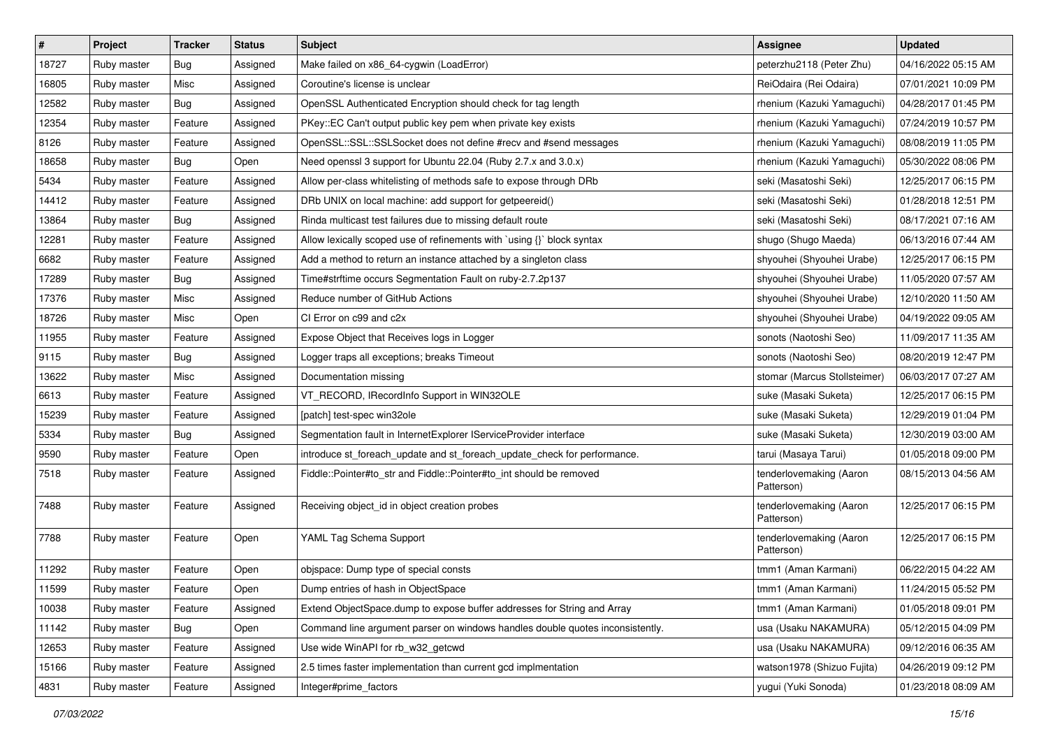| $\sharp$ | Project     | Tracker | <b>Status</b> | <b>Subject</b>                                                                | <b>Assignee</b>                       | <b>Updated</b>      |
|----------|-------------|---------|---------------|-------------------------------------------------------------------------------|---------------------------------------|---------------------|
| 18727    | Ruby master | Bug     | Assigned      | Make failed on x86_64-cygwin (LoadError)                                      | peterzhu2118 (Peter Zhu)              | 04/16/2022 05:15 AM |
| 16805    | Ruby master | Misc    | Assigned      | Coroutine's license is unclear                                                | ReiOdaira (Rei Odaira)                | 07/01/2021 10:09 PM |
| 12582    | Ruby master | Bug     | Assigned      | OpenSSL Authenticated Encryption should check for tag length                  | rhenium (Kazuki Yamaguchi)            | 04/28/2017 01:45 PM |
| 12354    | Ruby master | Feature | Assigned      | PKey::EC Can't output public key pem when private key exists                  | rhenium (Kazuki Yamaguchi)            | 07/24/2019 10:57 PM |
| 8126     | Ruby master | Feature | Assigned      | OpenSSL::SSL::SSLSocket does not define #recv and #send messages              | rhenium (Kazuki Yamaguchi)            | 08/08/2019 11:05 PM |
| 18658    | Ruby master | Bug     | Open          | Need openssl 3 support for Ubuntu 22.04 (Ruby 2.7.x and 3.0.x)                | rhenium (Kazuki Yamaguchi)            | 05/30/2022 08:06 PM |
| 5434     | Ruby master | Feature | Assigned      | Allow per-class whitelisting of methods safe to expose through DRb            | seki (Masatoshi Seki)                 | 12/25/2017 06:15 PM |
| 14412    | Ruby master | Feature | Assigned      | DRb UNIX on local machine: add support for getpeereid()                       | seki (Masatoshi Seki)                 | 01/28/2018 12:51 PM |
| 13864    | Ruby master | Bug     | Assigned      | Rinda multicast test failures due to missing default route                    | seki (Masatoshi Seki)                 | 08/17/2021 07:16 AM |
| 12281    | Ruby master | Feature | Assigned      | Allow lexically scoped use of refinements with `using {}` block syntax        | shugo (Shugo Maeda)                   | 06/13/2016 07:44 AM |
| 6682     | Ruby master | Feature | Assigned      | Add a method to return an instance attached by a singleton class              | shyouhei (Shyouhei Urabe)             | 12/25/2017 06:15 PM |
| 17289    | Ruby master | Bug     | Assigned      | Time#strftime occurs Segmentation Fault on ruby-2.7.2p137                     | shyouhei (Shyouhei Urabe)             | 11/05/2020 07:57 AM |
| 17376    | Ruby master | Misc    | Assigned      | Reduce number of GitHub Actions                                               | shyouhei (Shyouhei Urabe)             | 12/10/2020 11:50 AM |
| 18726    | Ruby master | Misc    | Open          | CI Error on c99 and c2x                                                       | shyouhei (Shyouhei Urabe)             | 04/19/2022 09:05 AM |
| 11955    | Ruby master | Feature | Assigned      | Expose Object that Receives logs in Logger                                    | sonots (Naotoshi Seo)                 | 11/09/2017 11:35 AM |
| 9115     | Ruby master | Bug     | Assigned      | Logger traps all exceptions; breaks Timeout                                   | sonots (Naotoshi Seo)                 | 08/20/2019 12:47 PM |
| 13622    | Ruby master | Misc    | Assigned      | Documentation missing                                                         | stomar (Marcus Stollsteimer)          | 06/03/2017 07:27 AM |
| 6613     | Ruby master | Feature | Assigned      | VT_RECORD, IRecordInfo Support in WIN32OLE                                    | suke (Masaki Suketa)                  | 12/25/2017 06:15 PM |
| 15239    | Ruby master | Feature | Assigned      | [patch] test-spec win32ole                                                    | suke (Masaki Suketa)                  | 12/29/2019 01:04 PM |
| 5334     | Ruby master | Bug     | Assigned      | Segmentation fault in InternetExplorer IServiceProvider interface             | suke (Masaki Suketa)                  | 12/30/2019 03:00 AM |
| 9590     | Ruby master | Feature | Open          | introduce st_foreach_update and st_foreach_update_check for performance.      | tarui (Masaya Tarui)                  | 01/05/2018 09:00 PM |
| 7518     | Ruby master | Feature | Assigned      | Fiddle::Pointer#to_str and Fiddle::Pointer#to_int should be removed           | tenderlovemaking (Aaron<br>Patterson) | 08/15/2013 04:56 AM |
| 7488     | Ruby master | Feature | Assigned      | Receiving object_id in object creation probes                                 | tenderlovemaking (Aaron<br>Patterson) | 12/25/2017 06:15 PM |
| 7788     | Ruby master | Feature | Open          | YAML Tag Schema Support                                                       | tenderlovemaking (Aaron<br>Patterson) | 12/25/2017 06:15 PM |
| 11292    | Ruby master | Feature | Open          | objspace: Dump type of special consts                                         | tmm1 (Aman Karmani)                   | 06/22/2015 04:22 AM |
| 11599    | Ruby master | Feature | Open          | Dump entries of hash in ObjectSpace                                           | tmm1 (Aman Karmani)                   | 11/24/2015 05:52 PM |
| 10038    | Ruby master | Feature | Assigned      | Extend ObjectSpace.dump to expose buffer addresses for String and Array       | tmm1 (Aman Karmani)                   | 01/05/2018 09:01 PM |
| 11142    | Ruby master | Bug     | Open          | Command line argument parser on windows handles double quotes inconsistently. | usa (Usaku NAKAMURA)                  | 05/12/2015 04:09 PM |
| 12653    | Ruby master | Feature | Assigned      | Use wide WinAPI for rb_w32_getcwd                                             | usa (Usaku NAKAMURA)                  | 09/12/2016 06:35 AM |
| 15166    | Ruby master | Feature | Assigned      | 2.5 times faster implementation than current gcd implmentation                | watson1978 (Shizuo Fujita)            | 04/26/2019 09:12 PM |
| 4831     | Ruby master | Feature | Assigned      | Integer#prime_factors                                                         | yugui (Yuki Sonoda)                   | 01/23/2018 08:09 AM |